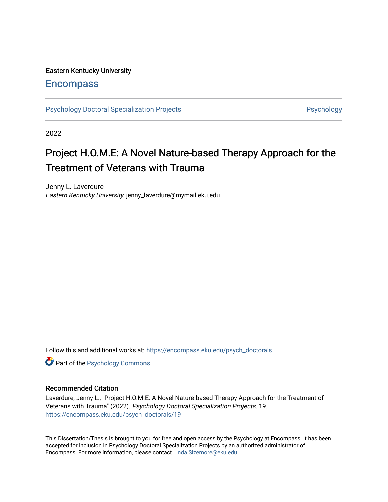# Eastern Kentucky University

# **Encompass**

[Psychology Doctoral Specialization Projects](https://encompass.eku.edu/psych_doctorals) **Provides Access Psychology** 

2022

# Project H.O.M.E: A Novel Nature-based Therapy Approach for the Treatment of Veterans with Trauma

Jenny L. Laverdure Eastern Kentucky University, jenny\_laverdure@mymail.eku.edu

Follow this and additional works at: [https://encompass.eku.edu/psych\\_doctorals](https://encompass.eku.edu/psych_doctorals?utm_source=encompass.eku.edu%2Fpsych_doctorals%2F19&utm_medium=PDF&utm_campaign=PDFCoverPages)

**Part of the Psychology Commons** 

## Recommended Citation

Laverdure, Jenny L., "Project H.O.M.E: A Novel Nature-based Therapy Approach for the Treatment of Veterans with Trauma" (2022). Psychology Doctoral Specialization Projects. 19. [https://encompass.eku.edu/psych\\_doctorals/19](https://encompass.eku.edu/psych_doctorals/19?utm_source=encompass.eku.edu%2Fpsych_doctorals%2F19&utm_medium=PDF&utm_campaign=PDFCoverPages) 

This Dissertation/Thesis is brought to you for free and open access by the Psychology at Encompass. It has been accepted for inclusion in Psychology Doctoral Specialization Projects by an authorized administrator of Encompass. For more information, please contact [Linda.Sizemore@eku.edu.](mailto:Linda.Sizemore@eku.edu)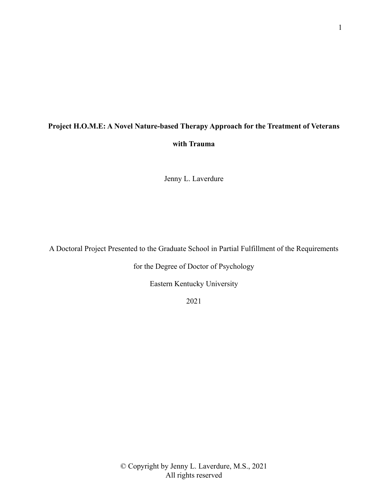# **Project H.O.M.E: A Novel Nature-based Therapy Approach for the Treatment of Veterans with Trauma**

Jenny L. Laverdure

A Doctoral Project Presented to the Graduate School in Partial Fulfillment of the Requirements

for the Degree of Doctor of Psychology

Eastern Kentucky University

2021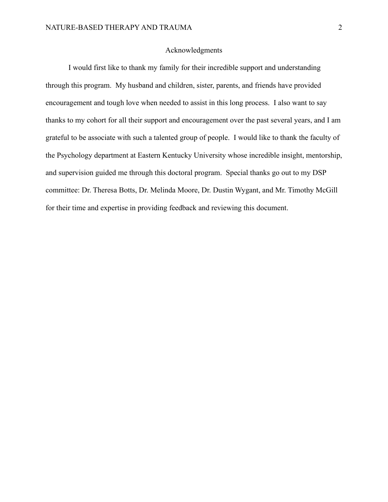### Acknowledgments

I would first like to thank my family for their incredible support and understanding through this program. My husband and children, sister, parents, and friends have provided encouragement and tough love when needed to assist in this long process. I also want to say thanks to my cohort for all their support and encouragement over the past several years, and I am grateful to be associate with such a talented group of people. I would like to thank the faculty of the Psychology department at Eastern Kentucky University whose incredible insight, mentorship, and supervision guided me through this doctoral program. Special thanks go out to my DSP committee: Dr. Theresa Botts, Dr. Melinda Moore, Dr. Dustin Wygant, and Mr. Timothy McGill for their time and expertise in providing feedback and reviewing this document.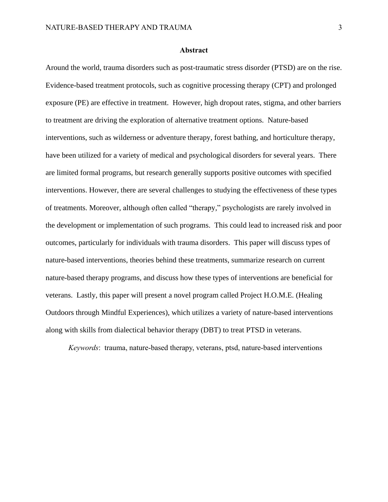#### **Abstract**

Around the world, trauma disorders such as post-traumatic stress disorder (PTSD) are on the rise. Evidence-based treatment protocols, such as cognitive processing therapy (CPT) and prolonged exposure (PE) are effective in treatment. However, high dropout rates, stigma, and other barriers to treatment are driving the exploration of alternative treatment options. Nature-based interventions, such as wilderness or adventure therapy, forest bathing, and horticulture therapy, have been utilized for a variety of medical and psychological disorders for several years. There are limited formal programs, but research generally supports positive outcomes with specified interventions. However, there are several challenges to studying the effectiveness of these types of treatments. Moreover, although often called "therapy," psychologists are rarely involved in the development or implementation of such programs. This could lead to increased risk and poor outcomes, particularly for individuals with trauma disorders. This paper will discuss types of nature-based interventions, theories behind these treatments, summarize research on current nature-based therapy programs, and discuss how these types of interventions are beneficial for veterans. Lastly, this paper will present a novel program called Project H.O.M.E. (Healing Outdoors through Mindful Experiences), which utilizes a variety of nature-based interventions along with skills from dialectical behavior therapy (DBT) to treat PTSD in veterans.

*Keywords*: trauma, nature-based therapy, veterans, ptsd, nature-based interventions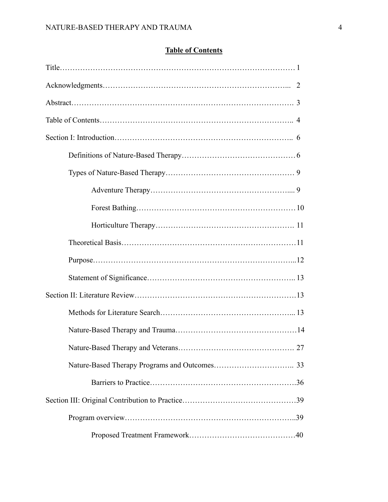# **Table of Contents**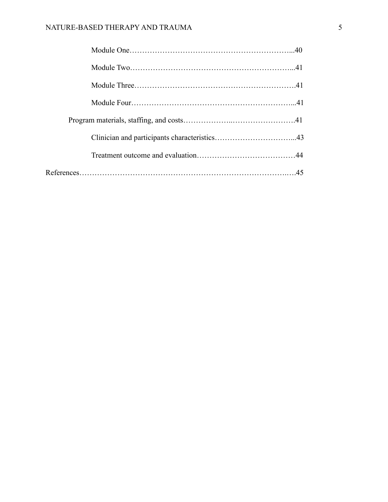# NATURE-BASED THERAPY AND TRAUMA 5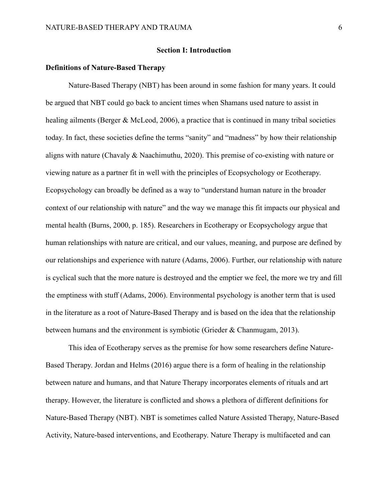## **Section I: Introduction**

### **Definitions of Nature-Based Therapy**

Nature-Based Therapy (NBT) has been around in some fashion for many years. It could be argued that NBT could go back to ancient times when Shamans used nature to assist in healing ailments (Berger & McLeod, 2006), a practice that is continued in many tribal societies today. In fact, these societies define the terms "sanity" and "madness" by how their relationship aligns with nature (Chavaly & Naachimuthu, 2020). This premise of co-existing with nature or viewing nature as a partner fit in well with the principles of Ecopsychology or Ecotherapy. Ecopsychology can broadly be defined as a way to "understand human nature in the broader context of our relationship with nature" and the way we manage this fit impacts our physical and mental health (Burns, 2000, p. 185). Researchers in Ecotherapy or Ecopsychology argue that human relationships with nature are critical, and our values, meaning, and purpose are defined by our relationships and experience with nature (Adams, 2006). Further, our relationship with nature is cyclical such that the more nature is destroyed and the emptier we feel, the more we try and fill the emptiness with stuff (Adams, 2006). Environmental psychology is another term that is used in the literature as a root of Nature-Based Therapy and is based on the idea that the relationship between humans and the environment is symbiotic (Grieder & Chanmugam, 2013).

This idea of Ecotherapy serves as the premise for how some researchers define Nature-Based Therapy. Jordan and Helms (2016) argue there is a form of healing in the relationship between nature and humans, and that Nature Therapy incorporates elements of rituals and art therapy. However, the literature is conflicted and shows a plethora of different definitions for Nature-Based Therapy (NBT). NBT is sometimes called Nature Assisted Therapy, Nature-Based Activity, Nature-based interventions, and Ecotherapy. Nature Therapy is multifaceted and can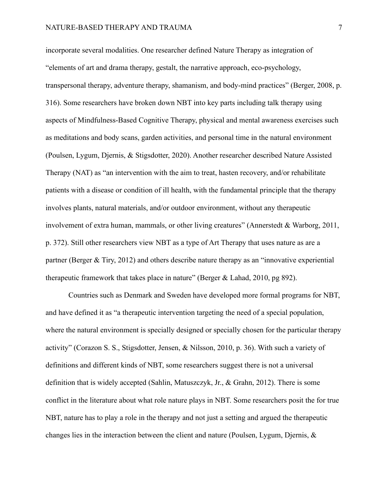incorporate several modalities. One researcher defined Nature Therapy as integration of "elements of art and drama therapy, gestalt, the narrative approach, eco-psychology, transpersonal therapy, adventure therapy, shamanism, and body-mind practices" (Berger, 2008, p. 316). Some researchers have broken down NBT into key parts including talk therapy using aspects of Mindfulness-Based Cognitive Therapy, physical and mental awareness exercises such as meditations and body scans, garden activities, and personal time in the natural environment (Poulsen, Lygum, Djernis, & Stigsdotter, 2020). Another researcher described Nature Assisted Therapy (NAT) as "an intervention with the aim to treat, hasten recovery, and/or rehabilitate patients with a disease or condition of ill health, with the fundamental principle that the therapy involves plants, natural materials, and/or outdoor environment, without any therapeutic involvement of extra human, mammals, or other living creatures" (Annerstedt & Warborg, 2011, p. 372). Still other researchers view NBT as a type of Art Therapy that uses nature as are a partner (Berger & Tiry, 2012) and others describe nature therapy as an "innovative experiential therapeutic framework that takes place in nature" (Berger & Lahad, 2010, pg 892).

Countries such as Denmark and Sweden have developed more formal programs for NBT, and have defined it as "a therapeutic intervention targeting the need of a special population, where the natural environment is specially designed or specially chosen for the particular therapy activity" (Corazon S. S., Stigsdotter, Jensen, & Nilsson, 2010, p. 36). With such a variety of definitions and different kinds of NBT, some researchers suggest there is not a universal definition that is widely accepted (Sahlin, Matuszczyk, Jr., & Grahn, 2012). There is some conflict in the literature about what role nature plays in NBT. Some researchers posit the for true NBT, nature has to play a role in the therapy and not just a setting and argued the therapeutic changes lies in the interaction between the client and nature (Poulsen, Lygum, Djernis, &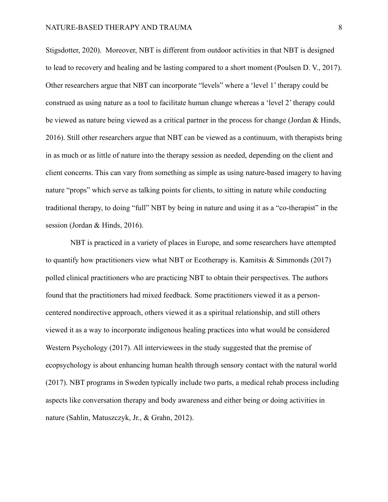Stigsdotter, 2020). Moreover, NBT is different from outdoor activities in that NBT is designed to lead to recovery and healing and be lasting compared to a short moment (Poulsen D. V., 2017). Other researchers argue that NBT can incorporate "levels" where a 'level 1' therapy could be construed as using nature as a tool to facilitate human change whereas a 'level 2' therapy could be viewed as nature being viewed as a critical partner in the process for change (Jordan & Hinds, 2016). Still other researchers argue that NBT can be viewed as a continuum, with therapists bring in as much or as little of nature into the therapy session as needed, depending on the client and client concerns. This can vary from something as simple as using nature-based imagery to having nature "props" which serve as talking points for clients, to sitting in nature while conducting traditional therapy, to doing "full" NBT by being in nature and using it as a "co-therapist" in the session (Jordan & Hinds, 2016).

NBT is practiced in a variety of places in Europe, and some researchers have attempted to quantify how practitioners view what NBT or Ecotherapy is. Kamitsis & Simmonds (2017) polled clinical practitioners who are practicing NBT to obtain their perspectives. The authors found that the practitioners had mixed feedback. Some practitioners viewed it as a personcentered nondirective approach, others viewed it as a spiritual relationship, and still others viewed it as a way to incorporate indigenous healing practices into what would be considered Western Psychology (2017). All interviewees in the study suggested that the premise of ecopsychology is about enhancing human health through sensory contact with the natural world (2017). NBT programs in Sweden typically include two parts, a medical rehab process including aspects like conversation therapy and body awareness and either being or doing activities in nature (Sahlin, Matuszczyk, Jr., & Grahn, 2012).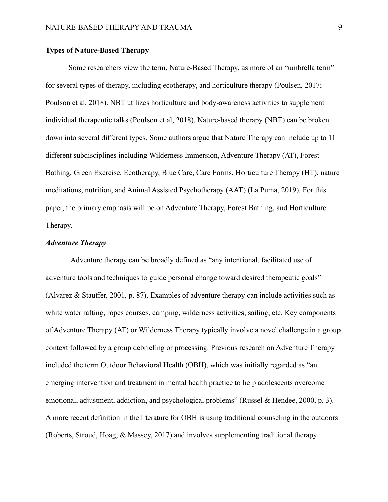# **Types of Nature-Based Therapy**

Some researchers view the term, Nature-Based Therapy, as more of an "umbrella term" for several types of therapy, including ecotherapy, and horticulture therapy (Poulsen, 2017; Poulson et al, 2018). NBT utilizes horticulture and body-awareness activities to supplement individual therapeutic talks (Poulson et al, 2018). Nature-based therapy (NBT) can be broken down into several different types. Some authors argue that Nature Therapy can include up to 11 different subdisciplines including Wilderness Immersion, Adventure Therapy (AT), Forest Bathing, Green Exercise, Ecotherapy, Blue Care, Care Forms, Horticulture Therapy (HT), nature meditations, nutrition, and Animal Assisted Psychotherapy (AAT) (La Puma, 2019). For this paper, the primary emphasis will be on Adventure Therapy, Forest Bathing, and Horticulture Therapy.

# *Adventure Therapy*

Adventure therapy can be broadly defined as "any intentional, facilitated use of adventure tools and techniques to guide personal change toward desired therapeutic goals" (Alvarez & Stauffer, 2001, p. 87). Examples of adventure therapy can include activities such as white water rafting, ropes courses, camping, wilderness activities, sailing, etc. Key components of Adventure Therapy (AT) or Wilderness Therapy typically involve a novel challenge in a group context followed by a group debriefing or processing. Previous research on Adventure Therapy included the term Outdoor Behavioral Health (OBH), which was initially regarded as "an emerging intervention and treatment in mental health practice to help adolescents overcome emotional, adjustment, addiction, and psychological problems" (Russel & Hendee, 2000, p. 3). A more recent definition in the literature for OBH is using traditional counseling in the outdoors (Roberts, Stroud, Hoag, & Massey, 2017) and involves supplementing traditional therapy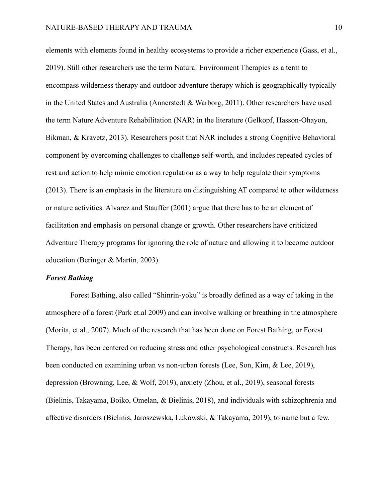elements with elements found in healthy ecosystems to provide a richer experience (Gass, et al., 2019). Still other researchers use the term Natural Environment Therapies as a term to encompass wilderness therapy and outdoor adventure therapy which is geographically typically in the United States and Australia (Annerstedt & Warborg, 2011). Other researchers have used the term Nature Adventure Rehabilitation (NAR) in the literature (Gelkopf, Hasson-Ohayon, Bikman, & Kravetz, 2013). Researchers posit that NAR includes a strong Cognitive Behavioral component by overcoming challenges to challenge self-worth, and includes repeated cycles of rest and action to help mimic emotion regulation as a way to help regulate their symptoms (2013). There is an emphasis in the literature on distinguishing AT compared to other wilderness or nature activities. Alvarez and Stauffer (2001) argue that there has to be an element of facilitation and emphasis on personal change or growth. Other researchers have criticized Adventure Therapy programs for ignoring the role of nature and allowing it to become outdoor education (Beringer & Martin, 2003).

#### *Forest Bathing*

Forest Bathing, also called "Shinrin-yoku" is broadly defined as a way of taking in the atmosphere of a forest (Park et.al 2009) and can involve walking or breathing in the atmosphere (Morita, et al., 2007). Much of the research that has been done on Forest Bathing, or Forest Therapy, has been centered on reducing stress and other psychological constructs. Research has been conducted on examining urban vs non-urban forests (Lee, Son, Kim, & Lee, 2019), depression (Browning, Lee, & Wolf, 2019), anxiety (Zhou, et al., 2019), seasonal forests (Bielinis, Takayama, Boiko, Omelan, & Bielinis, 2018), and individuals with schizophrenia and affective disorders (Bielinis, Jaroszewska, Lukowski, & Takayama, 2019), to name but a few.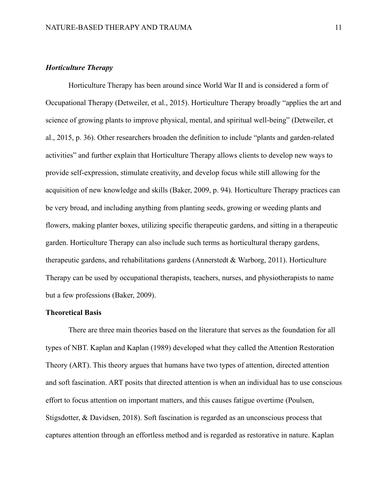# *Horticulture Therapy*

Horticulture Therapy has been around since World War II and is considered a form of Occupational Therapy (Detweiler, et al., 2015). Horticulture Therapy broadly "applies the art and science of growing plants to improve physical, mental, and spiritual well-being" (Detweiler, et al., 2015, p. 36). Other researchers broaden the definition to include "plants and garden-related activities" and further explain that Horticulture Therapy allows clients to develop new ways to provide self-expression, stimulate creativity, and develop focus while still allowing for the acquisition of new knowledge and skills (Baker, 2009, p. 94). Horticulture Therapy practices can be very broad, and including anything from planting seeds, growing or weeding plants and flowers, making planter boxes, utilizing specific therapeutic gardens, and sitting in a therapeutic garden. Horticulture Therapy can also include such terms as horticultural therapy gardens, therapeutic gardens, and rehabilitations gardens (Annerstedt & Warborg, 2011). Horticulture Therapy can be used by occupational therapists, teachers, nurses, and physiotherapists to name but a few professions (Baker, 2009).

### **Theoretical Basis**

There are three main theories based on the literature that serves as the foundation for all types of NBT. Kaplan and Kaplan (1989) developed what they called the Attention Restoration Theory (ART). This theory argues that humans have two types of attention, directed attention and soft fascination. ART posits that directed attention is when an individual has to use conscious effort to focus attention on important matters, and this causes fatigue overtime (Poulsen, Stigsdotter, & Davidsen, 2018). Soft fascination is regarded as an unconscious process that captures attention through an effortless method and is regarded as restorative in nature. Kaplan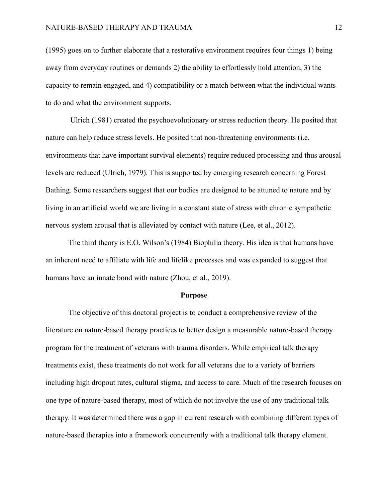(1995) goes on to further elaborate that a restorative environment requires four things 1) being away from everyday routines or demands 2) the ability to effortlessly hold attention, 3) the capacity to remain engaged, and 4) compatibility or a match between what the individual wants to do and what the environment supports.

Ulrich (1981) created the psychoevolutionary or stress reduction theory. He posited that nature can help reduce stress levels. He posited that non-threatening environments (i.e. environments that have important survival elements) require reduced processing and thus arousal levels are reduced (Ulrich, 1979). This is supported by emerging research concerning Forest Bathing. Some researchers suggest that our bodies are designed to be attuned to nature and by living in an artificial world we are living in a constant state of stress with chronic sympathetic nervous system arousal that is alleviated by contact with nature (Lee, et al., 2012).

The third theory is E.O. Wilson's (1984) Biophilia theory. His idea is that humans have an inherent need to affiliate with life and lifelike processes and was expanded to suggest that humans have an innate bond with nature (Zhou, et al., 2019).

#### **Purpose**

The objective of this doctoral project is to conduct a comprehensive review of the literature on nature-based therapy practices to better design a measurable nature-based therapy program for the treatment of veterans with trauma disorders. While empirical talk therapy treatments exist, these treatments do not work for all veterans due to a variety of barriers including high dropout rates, cultural stigma, and access to care. Much of the research focuses on one type of nature-based therapy, most of which do not involve the use of any traditional talk therapy. It was determined there was a gap in current research with combining different types of nature-based therapies into a framework concurrently with a traditional talk therapy element.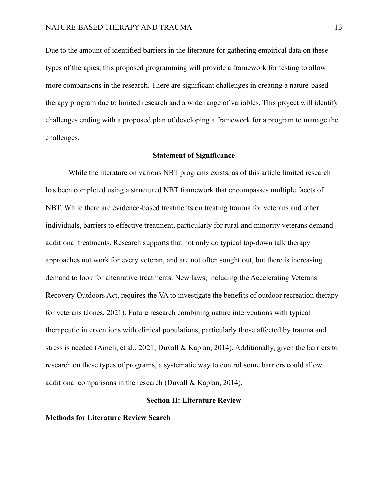Due to the amount of identified barriers in the literature for gathering empirical data on these types of therapies, this proposed programming will provide a framework for testing to allow more comparisons in the research. There are significant challenges in creating a nature-based therapy program due to limited research and a wide range of variables. This project will identify challenges ending with a proposed plan of developing a framework for a program to manage the challenges.

#### **Statement of Significance**

While the literature on various NBT programs exists, as of this article limited research has been completed using a structured NBT framework that encompasses multiple facets of NBT. While there are evidence-based treatments on treating trauma for veterans and other individuals, barriers to effective treatment, particularly for rural and minority veterans demand additional treatments. Research supports that not only do typical top-down talk therapy approaches not work for every veteran, and are not often sought out, but there is increasing demand to look for alternative treatments. New laws, including the Accelerating Veterans Recovery Outdoors Act, requires the VA to investigate the benefits of outdoor recreation therapy for veterans (Jones, 2021). Future research combining nature interventions with typical therapeutic interventions with clinical populations, particularly those affected by trauma and stress is needed (Ameli, et al., 2021; Duvall & Kaplan, 2014). Additionally, given the barriers to research on these types of programs, a systematic way to control some barriers could allow additional comparisons in the research (Duvall & Kaplan, 2014).

#### **Section II: Literature Review**

#### **Methods for Literature Review Search**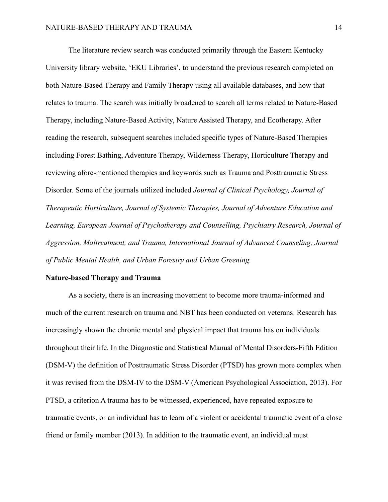The literature review search was conducted primarily through the Eastern Kentucky University library website, 'EKU Libraries', to understand the previous research completed on both Nature-Based Therapy and Family Therapy using all available databases, and how that relates to trauma. The search was initially broadened to search all terms related to Nature-Based Therapy, including Nature-Based Activity, Nature Assisted Therapy, and Ecotherapy. After reading the research, subsequent searches included specific types of Nature-Based Therapies including Forest Bathing, Adventure Therapy, Wilderness Therapy, Horticulture Therapy and reviewing afore-mentioned therapies and keywords such as Trauma and Posttraumatic Stress Disorder. Some of the journals utilized included *Journal of Clinical Psychology, Journal of Therapeutic Horticulture, Journal of Systemic Therapies, Journal of Adventure Education and Learning, European Journal of Psychotherapy and Counselling, Psychiatry Research, Journal of Aggression, Maltreatment, and Trauma, International Journal of Advanced Counseling, Journal of Public Mental Health, and Urban Forestry and Urban Greening.* 

#### **Nature-based Therapy and Trauma**

As a society, there is an increasing movement to become more trauma-informed and much of the current research on trauma and NBT has been conducted on veterans. Research has increasingly shown the chronic mental and physical impact that trauma has on individuals throughout their life. In the Diagnostic and Statistical Manual of Mental Disorders-Fifth Edition (DSM-V) the definition of Posttraumatic Stress Disorder (PTSD) has grown more complex when it was revised from the DSM-IV to the DSM-V (American Psychological Association, 2013). For PTSD, a criterion A trauma has to be witnessed, experienced, have repeated exposure to traumatic events, or an individual has to learn of a violent or accidental traumatic event of a close friend or family member (2013). In addition to the traumatic event, an individual must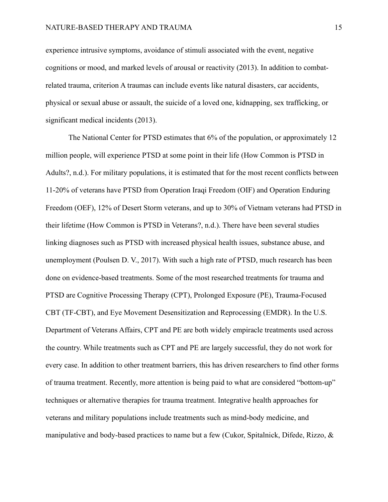experience intrusive symptoms, avoidance of stimuli associated with the event, negative cognitions or mood, and marked levels of arousal or reactivity (2013). In addition to combatrelated trauma, criterion A traumas can include events like natural disasters, car accidents, physical or sexual abuse or assault, the suicide of a loved one, kidnapping, sex trafficking, or significant medical incidents (2013).

The National Center for PTSD estimates that 6% of the population, or approximately 12 million people, will experience PTSD at some point in their life (How Common is PTSD in Adults?, n.d.). For military populations, it is estimated that for the most recent conflicts between 11-20% of veterans have PTSD from Operation Iraqi Freedom (OIF) and Operation Enduring Freedom (OEF), 12% of Desert Storm veterans, and up to 30% of Vietnam veterans had PTSD in their lifetime (How Common is PTSD in Veterans?, n.d.). There have been several studies linking diagnoses such as PTSD with increased physical health issues, substance abuse, and unemployment (Poulsen D. V., 2017). With such a high rate of PTSD, much research has been done on evidence-based treatments. Some of the most researched treatments for trauma and PTSD are Cognitive Processing Therapy (CPT), Prolonged Exposure (PE), Trauma-Focused CBT (TF-CBT), and Eye Movement Desensitization and Reprocessing (EMDR). In the U.S. Department of Veterans Affairs, CPT and PE are both widely empiracle treatments used across the country. While treatments such as CPT and PE are largely successful, they do not work for every case. In addition to other treatment barriers, this has driven researchers to find other forms of trauma treatment. Recently, more attention is being paid to what are considered "bottom-up" techniques or alternative therapies for trauma treatment. Integrative health approaches for veterans and military populations include treatments such as mind-body medicine, and manipulative and body-based practices to name but a few (Cukor, Spitalnick, Difede, Rizzo, &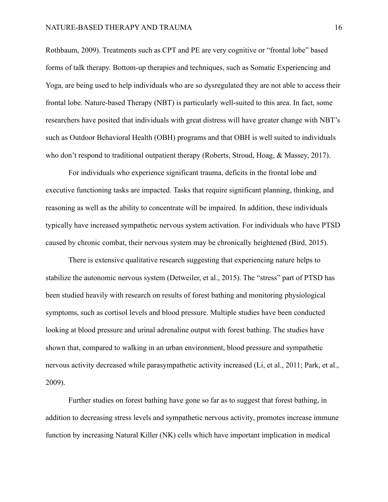Rothbaum, 2009). Treatments such as CPT and PE are very cognitive or "frontal lobe" based forms of talk therapy. Bottom-up therapies and techniques, such as Somatic Experiencing and Yoga, are being used to help individuals who are so dysregulated they are not able to access their frontal lobe. Nature-based Therapy (NBT) is particularly well-suited to this area. In fact, some researchers have posited that individuals with great distress will have greater change with NBT's such as Outdoor Behavioral Health (OBH) programs and that OBH is well suited to individuals who don't respond to traditional outpatient therapy (Roberts, Stroud, Hoag, & Massey, 2017).

For individuals who experience significant trauma, deficits in the frontal lobe and executive functioning tasks are impacted. Tasks that require significant planning, thinking, and reasoning as well as the ability to concentrate will be impaired. In addition, these individuals typically have increased sympathetic nervous system activation. For individuals who have PTSD caused by chronic combat, their nervous system may be chronically heightened (Bird, 2015).

There is extensive qualitative research suggesting that experiencing nature helps to stabilize the autonomic nervous system (Detweiler, et al., 2015). The "stress" part of PTSD has been studied heavily with research on results of forest bathing and monitoring physiological symptoms, such as cortisol levels and blood pressure. Multiple studies have been conducted looking at blood pressure and urinal adrenaline output with forest bathing. The studies have shown that, compared to walking in an urban environment, blood pressure and sympathetic nervous activity decreased while parasympathetic activity increased (Li, et al., 2011; Park, et al., 2009).

Further studies on forest bathing have gone so far as to suggest that forest bathing, in addition to decreasing stress levels and sympathetic nervous activity, promotes increase immune function by increasing Natural Killer (NK) cells which have important implication in medical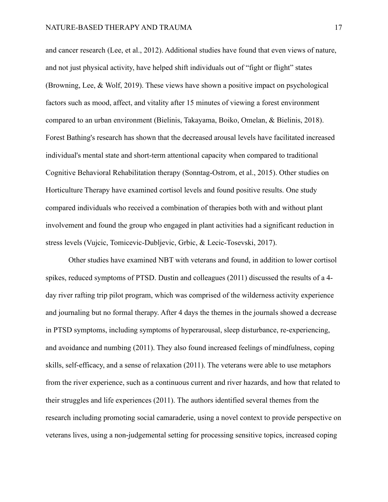and cancer research (Lee, et al., 2012). Additional studies have found that even views of nature, and not just physical activity, have helped shift individuals out of "fight or flight" states (Browning, Lee, & Wolf, 2019). These views have shown a positive impact on psychological factors such as mood, affect, and vitality after 15 minutes of viewing a forest environment compared to an urban environment (Bielinis, Takayama, Boiko, Omelan, & Bielinis, 2018). Forest Bathing's research has shown that the decreased arousal levels have facilitated increased individual's mental state and short-term attentional capacity when compared to traditional Cognitive Behavioral Rehabilitation therapy (Sonntag-Ostrom, et al., 2015). Other studies on Horticulture Therapy have examined cortisol levels and found positive results. One study compared individuals who received a combination of therapies both with and without plant involvement and found the group who engaged in plant activities had a significant reduction in stress levels (Vujcic, Tomicevic-Dubljevic, Grbic, & Lecic-Tosevski, 2017).

Other studies have examined NBT with veterans and found, in addition to lower cortisol spikes, reduced symptoms of PTSD. Dustin and colleagues (2011) discussed the results of a 4 day river rafting trip pilot program, which was comprised of the wilderness activity experience and journaling but no formal therapy. After 4 days the themes in the journals showed a decrease in PTSD symptoms, including symptoms of hyperarousal, sleep disturbance, re-experiencing, and avoidance and numbing (2011). They also found increased feelings of mindfulness, coping skills, self-efficacy, and a sense of relaxation (2011). The veterans were able to use metaphors from the river experience, such as a continuous current and river hazards, and how that related to their struggles and life experiences (2011). The authors identified several themes from the research including promoting social camaraderie, using a novel context to provide perspective on veterans lives, using a non-judgemental setting for processing sensitive topics, increased coping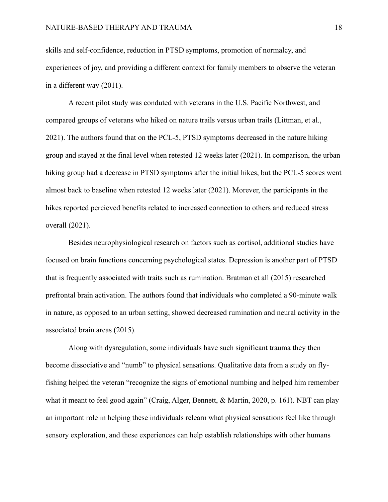skills and self-confidence, reduction in PTSD symptoms, promotion of normalcy, and experiences of joy, and providing a different context for family members to observe the veteran in a different way (2011).

A recent pilot study was conduted with veterans in the U.S. Pacific Northwest, and compared groups of veterans who hiked on nature trails versus urban trails (Littman, et al., 2021). The authors found that on the PCL-5, PTSD symptoms decreased in the nature hiking group and stayed at the final level when retested 12 weeks later (2021). In comparison, the urban hiking group had a decrease in PTSD symptoms after the initial hikes, but the PCL-5 scores went almost back to baseline when retested 12 weeks later (2021). Morever, the participants in the hikes reported percieved benefits related to increased connection to others and reduced stress overall (2021).

Besides neurophysiological research on factors such as cortisol, additional studies have focused on brain functions concerning psychological states. Depression is another part of PTSD that is frequently associated with traits such as rumination. Bratman et all (2015) researched prefrontal brain activation. The authors found that individuals who completed a 90-minute walk in nature, as opposed to an urban setting, showed decreased rumination and neural activity in the associated brain areas (2015).

Along with dysregulation, some individuals have such significant trauma they then become dissociative and "numb" to physical sensations. Qualitative data from a study on flyfishing helped the veteran "recognize the signs of emotional numbing and helped him remember what it meant to feel good again" (Craig, Alger, Bennett, & Martin, 2020, p. 161). NBT can play an important role in helping these individuals relearn what physical sensations feel like through sensory exploration, and these experiences can help establish relationships with other humans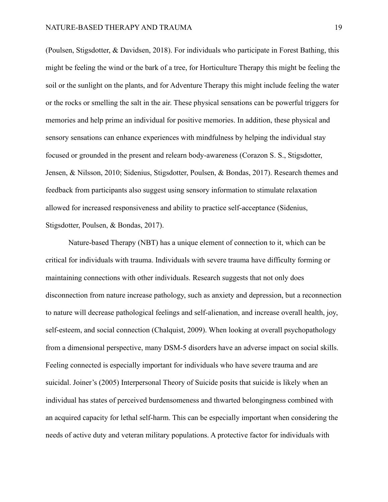(Poulsen, Stigsdotter, & Davidsen, 2018). For individuals who participate in Forest Bathing, this might be feeling the wind or the bark of a tree, for Horticulture Therapy this might be feeling the soil or the sunlight on the plants, and for Adventure Therapy this might include feeling the water or the rocks or smelling the salt in the air. These physical sensations can be powerful triggers for memories and help prime an individual for positive memories. In addition, these physical and sensory sensations can enhance experiences with mindfulness by helping the individual stay focused or grounded in the present and relearn body-awareness (Corazon S. S., Stigsdotter, Jensen, & Nilsson, 2010; Sidenius, Stigsdotter, Poulsen, & Bondas, 2017). Research themes and feedback from participants also suggest using sensory information to stimulate relaxation allowed for increased responsiveness and ability to practice self-acceptance (Sidenius, Stigsdotter, Poulsen, & Bondas, 2017).

Nature-based Therapy (NBT) has a unique element of connection to it, which can be critical for individuals with trauma. Individuals with severe trauma have difficulty forming or maintaining connections with other individuals. Research suggests that not only does disconnection from nature increase pathology, such as anxiety and depression, but a reconnection to nature will decrease pathological feelings and self-alienation, and increase overall health, joy, self-esteem, and social connection (Chalquist, 2009). When looking at overall psychopathology from a dimensional perspective, many DSM-5 disorders have an adverse impact on social skills. Feeling connected is especially important for individuals who have severe trauma and are suicidal. Joiner's (2005) Interpersonal Theory of Suicide posits that suicide is likely when an individual has states of perceived burdensomeness and thwarted belongingness combined with an acquired capacity for lethal self-harm. This can be especially important when considering the needs of active duty and veteran military populations. A protective factor for individuals with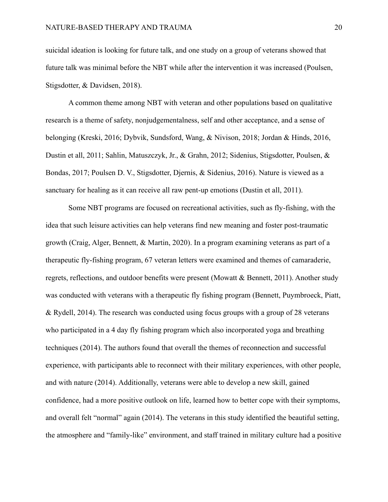suicidal ideation is looking for future talk, and one study on a group of veterans showed that future talk was minimal before the NBT while after the intervention it was increased (Poulsen, Stigsdotter, & Davidsen, 2018).

A common theme among NBT with veteran and other populations based on qualitative research is a theme of safety, nonjudgementalness, self and other acceptance, and a sense of belonging (Kreski, 2016; Dybvik, Sundsford, Wang, & Nivison, 2018; Jordan & Hinds, 2016, Dustin et all, 2011; Sahlin, Matuszczyk, Jr., & Grahn, 2012; Sidenius, Stigsdotter, Poulsen, & Bondas, 2017; Poulsen D. V., Stigsdotter, Djernis, & Sidenius, 2016). Nature is viewed as a sanctuary for healing as it can receive all raw pent-up emotions (Dustin et all, 2011).

Some NBT programs are focused on recreational activities, such as fly-fishing, with the idea that such leisure activities can help veterans find new meaning and foster post-traumatic growth (Craig, Alger, Bennett, & Martin, 2020). In a program examining veterans as part of a therapeutic fly-fishing program, 67 veteran letters were examined and themes of camaraderie, regrets, reflections, and outdoor benefits were present (Mowatt & Bennett, 2011). Another study was conducted with veterans with a therapeutic fly fishing program (Bennett, Puymbroeck, Piatt, & Rydell, 2014). The research was conducted using focus groups with a group of 28 veterans who participated in a 4 day fly fishing program which also incorporated yoga and breathing techniques (2014). The authors found that overall the themes of reconnection and successful experience, with participants able to reconnect with their military experiences, with other people, and with nature (2014). Additionally, veterans were able to develop a new skill, gained confidence, had a more positive outlook on life, learned how to better cope with their symptoms, and overall felt "normal" again (2014). The veterans in this study identified the beautiful setting, the atmosphere and "family-like" environment, and staff trained in military culture had a positive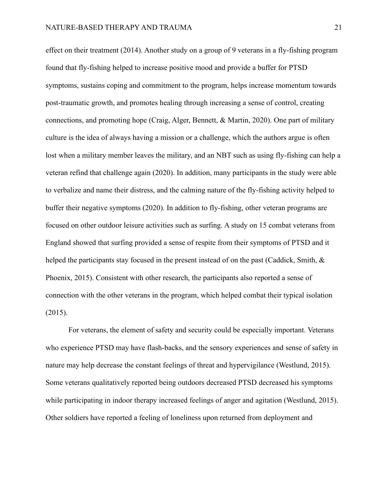effect on their treatment (2014). Another study on a group of 9 veterans in a fly-fishing program found that fly-fishing helped to increase positive mood and provide a buffer for PTSD symptoms, sustains coping and commitment to the program, helps increase momentum towards post-traumatic growth, and promotes healing through increasing a sense of control, creating connections, and promoting hope (Craig, Alger, Bennett, & Martin, 2020). One part of military culture is the idea of always having a mission or a challenge, which the authors argue is often lost when a military member leaves the military, and an NBT such as using fly-fishing can help a veteran refind that challenge again (2020). In addition, many participants in the study were able to verbalize and name their distress, and the calming nature of the fly-fishing activity helped to buffer their negative symptoms (2020). In addition to fly-fishing, other veteran programs are focused on other outdoor leisure activities such as surfing. A study on 15 combat veterans from England showed that surfing provided a sense of respite from their symptoms of PTSD and it helped the participants stay focused in the present instead of on the past (Caddick, Smith, & Phoenix, 2015). Consistent with other research, the participants also reported a sense of connection with the other veterans in the program, which helped combat their typical isolation (2015).

For veterans, the element of safety and security could be especially important. Veterans who experience PTSD may have flash-backs, and the sensory experiences and sense of safety in nature may help decrease the constant feelings of threat and hypervigilance (Westlund, 2015). Some veterans qualitatively reported being outdoors decreased PTSD decreased his symptoms while participating in indoor therapy increased feelings of anger and agitation (Westlund, 2015). Other soldiers have reported a feeling of loneliness upon returned from deployment and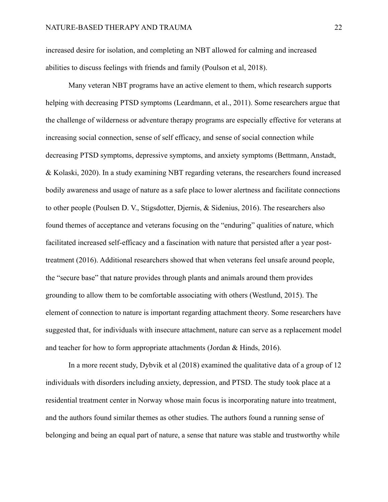increased desire for isolation, and completing an NBT allowed for calming and increased abilities to discuss feelings with friends and family (Poulson et al, 2018).

Many veteran NBT programs have an active element to them, which research supports helping with decreasing PTSD symptoms (Leardmann, et al., 2011). Some researchers argue that the challenge of wilderness or adventure therapy programs are especially effective for veterans at increasing social connection, sense of self efficacy, and sense of social connection while decreasing PTSD symptoms, depressive symptoms, and anxiety symptoms (Bettmann, Anstadt, & Kolaski, 2020). In a study examining NBT regarding veterans, the researchers found increased bodily awareness and usage of nature as a safe place to lower alertness and facilitate connections to other people (Poulsen D. V., Stigsdotter, Djernis, & Sidenius, 2016). The researchers also found themes of acceptance and veterans focusing on the "enduring" qualities of nature, which facilitated increased self-efficacy and a fascination with nature that persisted after a year posttreatment (2016). Additional researchers showed that when veterans feel unsafe around people, the "secure base" that nature provides through plants and animals around them provides grounding to allow them to be comfortable associating with others (Westlund, 2015). The element of connection to nature is important regarding attachment theory. Some researchers have suggested that, for individuals with insecure attachment, nature can serve as a replacement model and teacher for how to form appropriate attachments (Jordan & Hinds, 2016).

In a more recent study, Dybvik et al (2018) examined the qualitative data of a group of 12 individuals with disorders including anxiety, depression, and PTSD. The study took place at a residential treatment center in Norway whose main focus is incorporating nature into treatment, and the authors found similar themes as other studies. The authors found a running sense of belonging and being an equal part of nature, a sense that nature was stable and trustworthy while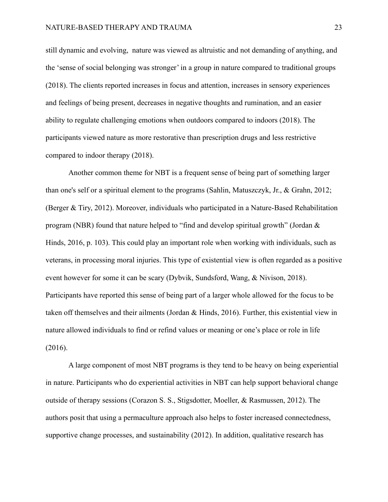still dynamic and evolving, nature was viewed as altruistic and not demanding of anything, and the 'sense of social belonging was stronger' in a group in nature compared to traditional groups (2018). The clients reported increases in focus and attention, increases in sensory experiences and feelings of being present, decreases in negative thoughts and rumination, and an easier ability to regulate challenging emotions when outdoors compared to indoors (2018). The participants viewed nature as more restorative than prescription drugs and less restrictive compared to indoor therapy (2018).

Another common theme for NBT is a frequent sense of being part of something larger than one's self or a spiritual element to the programs (Sahlin, Matuszczyk, Jr., & Grahn, 2012; (Berger & Tiry, 2012). Moreover, individuals who participated in a Nature-Based Rehabilitation program (NBR) found that nature helped to "find and develop spiritual growth" (Jordan & Hinds, 2016, p. 103). This could play an important role when working with individuals, such as veterans, in processing moral injuries. This type of existential view is often regarded as a positive event however for some it can be scary (Dybvik, Sundsford, Wang, & Nivison, 2018). Participants have reported this sense of being part of a larger whole allowed for the focus to be taken off themselves and their ailments (Jordan & Hinds, 2016). Further, this existential view in nature allowed individuals to find or refind values or meaning or one's place or role in life (2016).

A large component of most NBT programs is they tend to be heavy on being experiential in nature. Participants who do experiential activities in NBT can help support behavioral change outside of therapy sessions (Corazon S. S., Stigsdotter, Moeller, & Rasmussen, 2012). The authors posit that using a permaculture approach also helps to foster increased connectedness, supportive change processes, and sustainability (2012). In addition, qualitative research has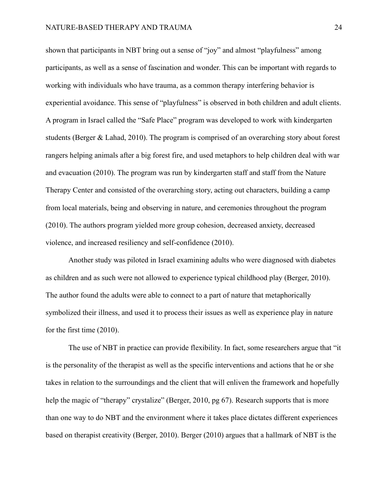shown that participants in NBT bring out a sense of "joy" and almost "playfulness" among participants, as well as a sense of fascination and wonder. This can be important with regards to working with individuals who have trauma, as a common therapy interfering behavior is experiential avoidance. This sense of "playfulness" is observed in both children and adult clients. A program in Israel called the "Safe Place" program was developed to work with kindergarten students (Berger & Lahad, 2010). The program is comprised of an overarching story about forest rangers helping animals after a big forest fire, and used metaphors to help children deal with war and evacuation (2010). The program was run by kindergarten staff and staff from the Nature Therapy Center and consisted of the overarching story, acting out characters, building a camp from local materials, being and observing in nature, and ceremonies throughout the program (2010). The authors program yielded more group cohesion, decreased anxiety, decreased violence, and increased resiliency and self-confidence (2010).

Another study was piloted in Israel examining adults who were diagnosed with diabetes as children and as such were not allowed to experience typical childhood play (Berger, 2010). The author found the adults were able to connect to a part of nature that metaphorically symbolized their illness, and used it to process their issues as well as experience play in nature for the first time (2010).

The use of NBT in practice can provide flexibility. In fact, some researchers argue that "it is the personality of the therapist as well as the specific interventions and actions that he or she takes in relation to the surroundings and the client that will enliven the framework and hopefully help the magic of "therapy" crystalize" (Berger, 2010, pg 67). Research supports that is more than one way to do NBT and the environment where it takes place dictates different experiences based on therapist creativity (Berger, 2010). Berger (2010) argues that a hallmark of NBT is the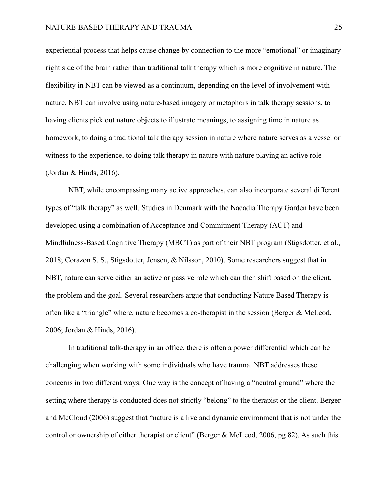experiential process that helps cause change by connection to the more "emotional" or imaginary right side of the brain rather than traditional talk therapy which is more cognitive in nature. The flexibility in NBT can be viewed as a continuum, depending on the level of involvement with nature. NBT can involve using nature-based imagery or metaphors in talk therapy sessions, to having clients pick out nature objects to illustrate meanings, to assigning time in nature as homework, to doing a traditional talk therapy session in nature where nature serves as a vessel or witness to the experience, to doing talk therapy in nature with nature playing an active role (Jordan & Hinds, 2016).

NBT, while encompassing many active approaches, can also incorporate several different types of "talk therapy" as well. Studies in Denmark with the Nacadia Therapy Garden have been developed using a combination of Acceptance and Commitment Therapy (ACT) and Mindfulness-Based Cognitive Therapy (MBCT) as part of their NBT program (Stigsdotter, et al., 2018; Corazon S. S., Stigsdotter, Jensen, & Nilsson, 2010). Some researchers suggest that in NBT, nature can serve either an active or passive role which can then shift based on the client, the problem and the goal. Several researchers argue that conducting Nature Based Therapy is often like a "triangle" where, nature becomes a co-therapist in the session (Berger & McLeod, 2006; Jordan & Hinds, 2016).

In traditional talk-therapy in an office, there is often a power differential which can be challenging when working with some individuals who have trauma. NBT addresses these concerns in two different ways. One way is the concept of having a "neutral ground" where the setting where therapy is conducted does not strictly "belong" to the therapist or the client. Berger and McCloud (2006) suggest that "nature is a live and dynamic environment that is not under the control or ownership of either therapist or client" (Berger & McLeod, 2006, pg 82). As such this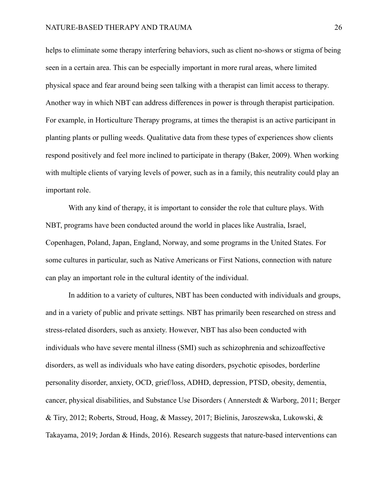helps to eliminate some therapy interfering behaviors, such as client no-shows or stigma of being seen in a certain area. This can be especially important in more rural areas, where limited physical space and fear around being seen talking with a therapist can limit access to therapy. Another way in which NBT can address differences in power is through therapist participation. For example, in Horticulture Therapy programs, at times the therapist is an active participant in planting plants or pulling weeds. Qualitative data from these types of experiences show clients respond positively and feel more inclined to participate in therapy (Baker, 2009). When working with multiple clients of varying levels of power, such as in a family, this neutrality could play an important role.

With any kind of therapy, it is important to consider the role that culture plays. With NBT, programs have been conducted around the world in places like Australia, Israel, Copenhagen, Poland, Japan, England, Norway, and some programs in the United States. For some cultures in particular, such as Native Americans or First Nations, connection with nature can play an important role in the cultural identity of the individual.

In addition to a variety of cultures, NBT has been conducted with individuals and groups, and in a variety of public and private settings. NBT has primarily been researched on stress and stress-related disorders, such as anxiety. However, NBT has also been conducted with individuals who have severe mental illness (SMI) such as schizophrenia and schizoaffective disorders, as well as individuals who have eating disorders, psychotic episodes, borderline personality disorder, anxiety, OCD, grief/loss, ADHD, depression, PTSD, obesity, dementia, cancer, physical disabilities, and Substance Use Disorders ( Annerstedt & Warborg, 2011; Berger & Tiry, 2012; Roberts, Stroud, Hoag, & Massey, 2017; Bielinis, Jaroszewska, Lukowski, & Takayama, 2019; Jordan & Hinds, 2016). Research suggests that nature-based interventions can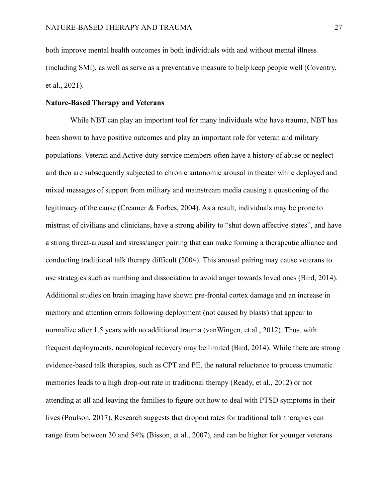both improve mental health outcomes in both individuals with and without mental illness (including SMI), as well as serve as a preventative measure to help keep people well (Coventry, et al., 2021).

## **Nature-Based Therapy and Veterans**

While NBT can play an important tool for many individuals who have trauma, NBT has been shown to have positive outcomes and play an important role for veteran and military populations. Veteran and Active-duty service members often have a history of abuse or neglect and then are subsequently subjected to chronic autonomic arousal in theater while deployed and mixed messages of support from military and mainstream media causing a questioning of the legitimacy of the cause (Creamer & Forbes, 2004). As a result, individuals may be prone to mistrust of civilians and clinicians, have a strong ability to "shut down affective states", and have a strong threat-arousal and stress/anger pairing that can make forming a therapeutic alliance and conducting traditional talk therapy difficult (2004). This arousal pairing may cause veterans to use strategies such as numbing and dissociation to avoid anger towards loved ones (Bird, 2014). Additional studies on brain imaging have shown pre-frontal cortex damage and an increase in memory and attention errors following deployment (not caused by blasts) that appear to normalize after 1.5 years with no additional trauma (vanWingen, et al., 2012). Thus, with frequent deployments, neurological recovery may be limited (Bird, 2014). While there are strong evidence-based talk therapies, such as CPT and PE, the natural reluctance to process traumatic memories leads to a high drop-out rate in traditional therapy (Ready, et al., 2012) or not attending at all and leaving the families to figure out how to deal with PTSD symptoms in their lives (Poulson, 2017). Research suggests that dropout rates for traditional talk therapies can range from between 30 and 54% (Bisson, et al., 2007), and can be higher for younger veterans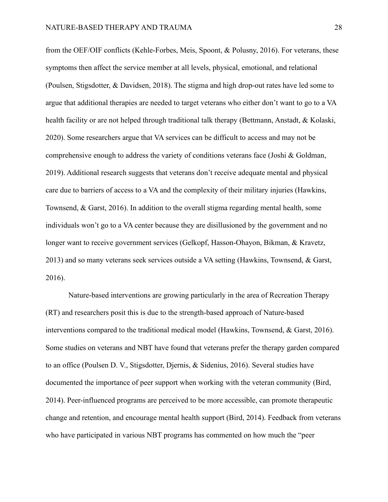from the OEF/OIF conflicts (Kehle-Forbes, Meis, Spoont, & Polusny, 2016). For veterans, these symptoms then affect the service member at all levels, physical, emotional, and relational (Poulsen, Stigsdotter, & Davidsen, 2018). The stigma and high drop-out rates have led some to argue that additional therapies are needed to target veterans who either don't want to go to a VA health facility or are not helped through traditional talk therapy (Bettmann, Anstadt, & Kolaski, 2020). Some researchers argue that VA services can be difficult to access and may not be comprehensive enough to address the variety of conditions veterans face (Joshi & Goldman, 2019). Additional research suggests that veterans don't receive adequate mental and physical care due to barriers of access to a VA and the complexity of their military injuries (Hawkins, Townsend, & Garst, 2016). In addition to the overall stigma regarding mental health, some individuals won't go to a VA center because they are disillusioned by the government and no longer want to receive government services (Gelkopf, Hasson-Ohayon, Bikman, & Kravetz, 2013) and so many veterans seek services outside a VA setting (Hawkins, Townsend, & Garst, 2016).

Nature-based interventions are growing particularly in the area of Recreation Therapy (RT) and researchers posit this is due to the strength-based approach of Nature-based interventions compared to the traditional medical model (Hawkins, Townsend, & Garst, 2016). Some studies on veterans and NBT have found that veterans prefer the therapy garden compared to an office (Poulsen D. V., Stigsdotter, Djernis, & Sidenius, 2016). Several studies have documented the importance of peer support when working with the veteran community (Bird, 2014). Peer-influenced programs are perceived to be more accessible, can promote therapeutic change and retention, and encourage mental health support (Bird, 2014). Feedback from veterans who have participated in various NBT programs has commented on how much the "peer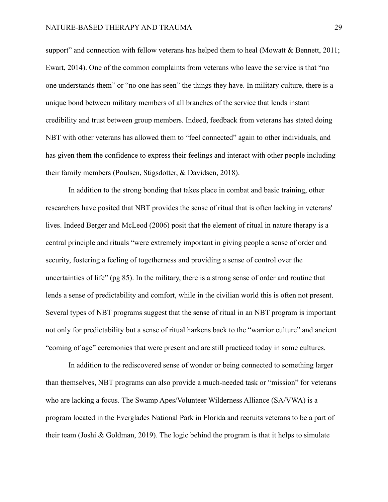support" and connection with fellow veterans has helped them to heal (Mowatt & Bennett, 2011; Ewart, 2014). One of the common complaints from veterans who leave the service is that "no one understands them" or "no one has seen" the things they have. In military culture, there is a unique bond between military members of all branches of the service that lends instant credibility and trust between group members. Indeed, feedback from veterans has stated doing NBT with other veterans has allowed them to "feel connected" again to other individuals, and has given them the confidence to express their feelings and interact with other people including their family members (Poulsen, Stigsdotter, & Davidsen, 2018).

In addition to the strong bonding that takes place in combat and basic training, other researchers have posited that NBT provides the sense of ritual that is often lacking in veterans' lives. Indeed Berger and McLeod (2006) posit that the element of ritual in nature therapy is a central principle and rituals "were extremely important in giving people a sense of order and security, fostering a feeling of togetherness and providing a sense of control over the uncertainties of life" (pg 85). In the military, there is a strong sense of order and routine that lends a sense of predictability and comfort, while in the civilian world this is often not present. Several types of NBT programs suggest that the sense of ritual in an NBT program is important not only for predictability but a sense of ritual harkens back to the "warrior culture" and ancient "coming of age" ceremonies that were present and are still practiced today in some cultures.

In addition to the rediscovered sense of wonder or being connected to something larger than themselves, NBT programs can also provide a much-needed task or "mission" for veterans who are lacking a focus. The Swamp Apes/Volunteer Wilderness Alliance (SA/VWA) is a program located in the Everglades National Park in Florida and recruits veterans to be a part of their team (Joshi & Goldman, 2019). The logic behind the program is that it helps to simulate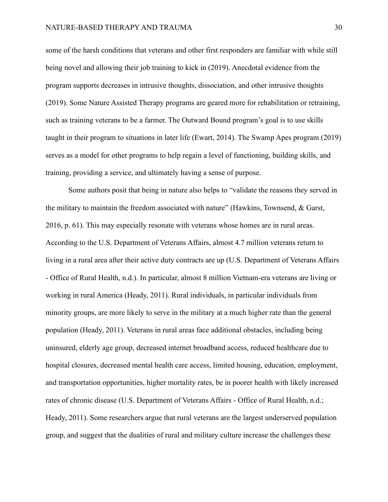some of the harsh conditions that veterans and other first responders are familiar with while still being novel and allowing their job training to kick in (2019). Anecdotal evidence from the program supports decreases in intrusive thoughts, dissociation, and other intrusive thoughts (2019). Some Nature Assisted Therapy programs are geared more for rehabilitation or retraining, such as training veterans to be a farmer. The Outward Bound program's goal is to use skills taught in their program to situations in later life (Ewart, 2014). The Swamp Apes program (2019) serves as a model for other programs to help regain a level of functioning, building skills, and training, providing a service, and ultimately having a sense of purpose.

Some authors posit that being in nature also helps to "validate the reasons they served in the military to maintain the freedom associated with nature" (Hawkins, Townsend, & Garst, 2016, p. 61). This may especially resonate with veterans whose homes are in rural areas. According to the U.S. Department of Veterans Affairs, almost 4.7 million veterans return to living in a rural area after their active duty contracts are up (U.S. Department of Veterans Affairs - Office of Rural Health, n.d.). In particular, almost 8 million Vietnam-era veterans are living or working in rural America (Heady, 2011). Rural individuals, in particular individuals from minority groups, are more likely to serve in the military at a much higher rate than the general population (Heady, 2011). Veterans in rural areas face additional obstacles, including being uninsured, elderly age group, decreased internet broadband access, reduced healthcare due to hospital closures, decreased mental health care access, limited housing, education, employment, and transportation opportunities, higher mortality rates, be in poorer health with likely increased rates of chronic disease (U.S. Department of Veterans Affairs - Office of Rural Health, n.d.; Heady, 2011). Some researchers argue that rural veterans are the largest underserved population group, and suggest that the dualities of rural and military culture increase the challenges these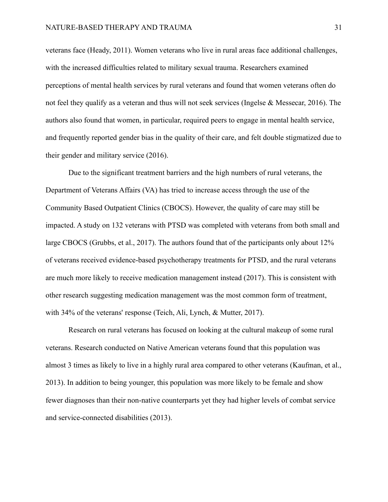veterans face (Heady, 2011). Women veterans who live in rural areas face additional challenges, with the increased difficulties related to military sexual trauma. Researchers examined perceptions of mental health services by rural veterans and found that women veterans often do not feel they qualify as a veteran and thus will not seek services (Ingelse & Messecar, 2016). The authors also found that women, in particular, required peers to engage in mental health service, and frequently reported gender bias in the quality of their care, and felt double stigmatized due to their gender and military service (2016).

Due to the significant treatment barriers and the high numbers of rural veterans, the Department of Veterans Affairs (VA) has tried to increase access through the use of the Community Based Outpatient Clinics (CBOCS). However, the quality of care may still be impacted. A study on 132 veterans with PTSD was completed with veterans from both small and large CBOCS (Grubbs, et al., 2017). The authors found that of the participants only about 12% of veterans received evidence-based psychotherapy treatments for PTSD, and the rural veterans are much more likely to receive medication management instead (2017). This is consistent with other research suggesting medication management was the most common form of treatment, with 34% of the veterans' response (Teich, Ali, Lynch, & Mutter, 2017).

Research on rural veterans has focused on looking at the cultural makeup of some rural veterans. Research conducted on Native American veterans found that this population was almost 3 times as likely to live in a highly rural area compared to other veterans (Kaufman, et al., 2013). In addition to being younger, this population was more likely to be female and show fewer diagnoses than their non-native counterparts yet they had higher levels of combat service and service-connected disabilities (2013).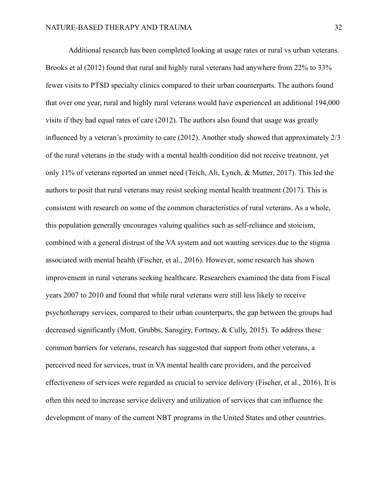Additional research has been completed looking at usage rates or rural vs urban veterans. Brooks et al (2012) found that rural and highly rural veterans had anywhere from 22% to 33% fewer visits to PTSD specialty clinics compared to their urban counterparts. The authors found that over one year, rural and highly rural veterans would have experienced an additional 194,000 visits if they had equal rates of care (2012). The authors also found that usage was greatly influenced by a veteran's proximity to care (2012). Another study showed that approximately 2/3 of the rural veterans in the study with a mental health condition did not receive treatment, yet only 11% of veterans reported an unmet need (Teich, Ali, Lynch, & Mutter, 2017). This led the authors to posit that rural veterans may resist seeking mental health treatment (2017). This is consistent with research on some of the common characteristics of rural veterans. As a whole, this population generally encourages valuing qualities such as self-reliance and stoicism, combined with a general distrust of the VA system and not wanting services due to the stigma associated with mental health (Fischer, et al., 2016). However, some research has shown improvement in rural veterans seeking healthcare. Researchers examined the data from Fiscal years 2007 to 2010 and found that while rural veterans were still less likely to receive psychotherapy services, compared to their urban counterparts, the gap between the groups had decreased significantly (Mott, Grubbs, Sansgiry, Fortney, & Cully, 2015). To address these common barriers for veterans, research has suggested that support from other veterans, a perceived need for services, trust in VA mental health care providers, and the perceived effectiveness of services were regarded as crucial to service delivery (Fischer, et al., 2016). It is often this need to increase service delivery and utilization of services that can influence the development of many of the current NBT programs in the United States and other countries.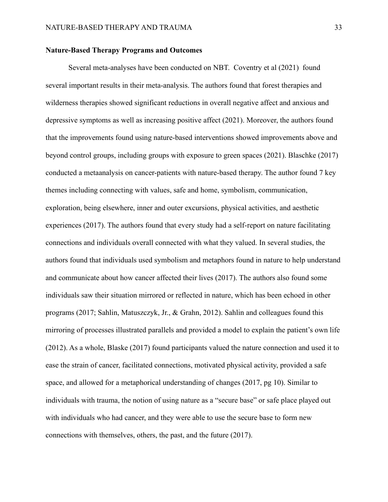### **Nature-Based Therapy Programs and Outcomes**

Several meta-analyses have been conducted on NBT. Coventry et al (2021) found several important results in their meta-analysis. The authors found that forest therapies and wilderness therapies showed significant reductions in overall negative affect and anxious and depressive symptoms as well as increasing positive affect (2021). Moreover, the authors found that the improvements found using nature-based interventions showed improvements above and beyond control groups, including groups with exposure to green spaces (2021). Blaschke (2017) conducted a metaanalysis on cancer-patients with nature-based therapy. The author found 7 key themes including connecting with values, safe and home, symbolism, communication, exploration, being elsewhere, inner and outer excursions, physical activities, and aesthetic experiences (2017). The authors found that every study had a self-report on nature facilitating connections and individuals overall connected with what they valued. In several studies, the authors found that individuals used symbolism and metaphors found in nature to help understand and communicate about how cancer affected their lives (2017). The authors also found some individuals saw their situation mirrored or reflected in nature, which has been echoed in other programs (2017; Sahlin, Matuszczyk, Jr., & Grahn, 2012). Sahlin and colleagues found this mirroring of processes illustrated parallels and provided a model to explain the patient's own life (2012). As a whole, Blaske (2017) found participants valued the nature connection and used it to ease the strain of cancer, facilitated connections, motivated physical activity, provided a safe space, and allowed for a metaphorical understanding of changes (2017, pg 10). Similar to individuals with trauma, the notion of using nature as a "secure base" or safe place played out with individuals who had cancer, and they were able to use the secure base to form new connections with themselves, others, the past, and the future (2017).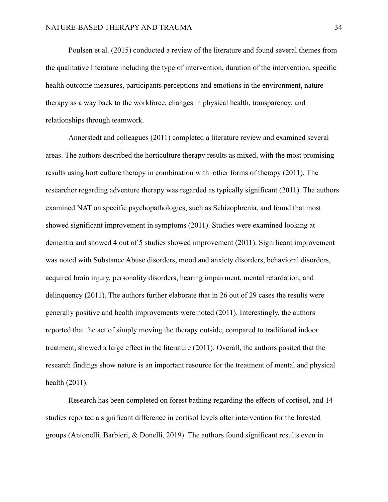Poulsen et al. (2015) conducted a review of the literature and found several themes from the qualitative literature including the type of intervention, duration of the intervention, specific health outcome measures, participants perceptions and emotions in the environment, nature therapy as a way back to the workforce, changes in physical health, transparency, and relationships through teamwork.

Annerstedt and colleagues (2011) completed a literature review and examined several areas. The authors described the horticulture therapy results as mixed, with the most promising results using horticulture therapy in combination with other forms of therapy (2011). The researcher regarding adventure therapy was regarded as typically significant (2011). The authors examined NAT on specific psychopathologies, such as Schizophrenia, and found that most showed significant improvement in symptoms (2011). Studies were examined looking at dementia and showed 4 out of 5 studies showed improvement (2011). Significant improvement was noted with Substance Abuse disorders, mood and anxiety disorders, behavioral disorders, acquired brain injury, personality disorders, hearing impairment, mental retardation, and delinquency (2011). The authors further elaborate that in 26 out of 29 cases the results were generally positive and health improvements were noted (2011). Interestingly, the authors reported that the act of simply moving the therapy outside, compared to traditional indoor treatment, showed a large effect in the literature (2011). Overall, the authors posited that the research findings show nature is an important resource for the treatment of mental and physical health (2011).

Research has been completed on forest bathing regarding the effects of cortisol, and 14 studies reported a significant difference in cortisol levels after intervention for the forested groups (Antonelli, Barbieri, & Donelli, 2019). The authors found significant results even in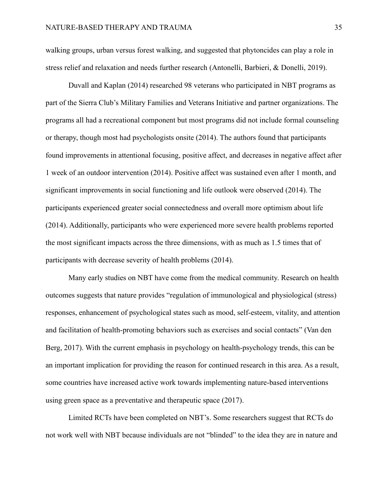walking groups, urban versus forest walking, and suggested that phytoncides can play a role in stress relief and relaxation and needs further research (Antonelli, Barbieri, & Donelli, 2019).

Duvall and Kaplan (2014) researched 98 veterans who participated in NBT programs as part of the Sierra Club's Military Families and Veterans Initiative and partner organizations. The programs all had a recreational component but most programs did not include formal counseling or therapy, though most had psychologists onsite (2014). The authors found that participants found improvements in attentional focusing, positive affect, and decreases in negative affect after 1 week of an outdoor intervention (2014). Positive affect was sustained even after 1 month, and significant improvements in social functioning and life outlook were observed (2014). The participants experienced greater social connectedness and overall more optimism about life (2014). Additionally, participants who were experienced more severe health problems reported the most significant impacts across the three dimensions, with as much as 1.5 times that of participants with decrease severity of health problems (2014).

Many early studies on NBT have come from the medical community. Research on health outcomes suggests that nature provides "regulation of immunological and physiological (stress) responses, enhancement of psychological states such as mood, self-esteem, vitality, and attention and facilitation of health-promoting behaviors such as exercises and social contacts" (Van den Berg, 2017). With the current emphasis in psychology on health-psychology trends, this can be an important implication for providing the reason for continued research in this area. As a result, some countries have increased active work towards implementing nature-based interventions using green space as a preventative and therapeutic space (2017).

Limited RCTs have been completed on NBT's. Some researchers suggest that RCTs do not work well with NBT because individuals are not "blinded" to the idea they are in nature and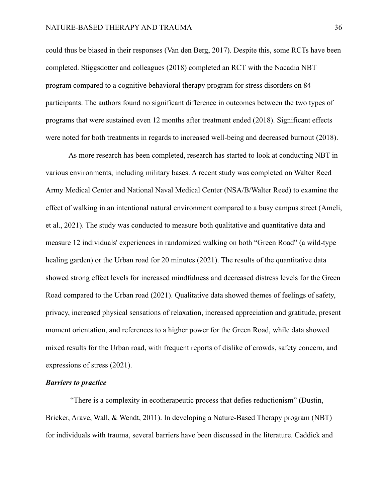could thus be biased in their responses (Van den Berg, 2017). Despite this, some RCTs have been completed. Stiggsdotter and colleagues (2018) completed an RCT with the Nacadia NBT program compared to a cognitive behavioral therapy program for stress disorders on 84 participants. The authors found no significant difference in outcomes between the two types of programs that were sustained even 12 months after treatment ended (2018). Significant effects were noted for both treatments in regards to increased well-being and decreased burnout (2018).

As more research has been completed, research has started to look at conducting NBT in various environments, including military bases. A recent study was completed on Walter Reed Army Medical Center and National Naval Medical Center (NSA/B/Walter Reed) to examine the effect of walking in an intentional natural environment compared to a busy campus street (Ameli, et al., 2021). The study was conducted to measure both qualitative and quantitative data and measure 12 individuals' experiences in randomized walking on both "Green Road" (a wild-type healing garden) or the Urban road for 20 minutes (2021). The results of the quantitative data showed strong effect levels for increased mindfulness and decreased distress levels for the Green Road compared to the Urban road (2021). Qualitative data showed themes of feelings of safety, privacy, increased physical sensations of relaxation, increased appreciation and gratitude, present moment orientation, and references to a higher power for the Green Road, while data showed mixed results for the Urban road, with frequent reports of dislike of crowds, safety concern, and expressions of stress (2021).

#### *Barriers to practice*

"There is a complexity in ecotherapeutic process that defies reductionism" (Dustin, Bricker, Arave, Wall, & Wendt, 2011). In developing a Nature-Based Therapy program (NBT) for individuals with trauma, several barriers have been discussed in the literature. Caddick and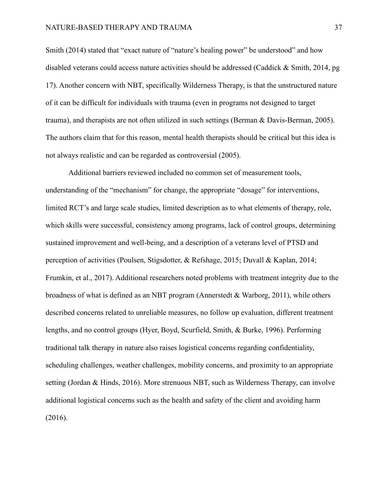Smith (2014) stated that "exact nature of "nature's healing power" be understood" and how disabled veterans could access nature activities should be addressed (Caddick & Smith, 2014, pg 17). Another concern with NBT, specifically Wilderness Therapy, is that the unstructured nature of it can be difficult for individuals with trauma (even in programs not designed to target trauma), and therapists are not often utilized in such settings (Berman & Davis-Berman, 2005). The authors claim that for this reason, mental health therapists should be critical but this idea is not always realistic and can be regarded as controversial (2005).

Additional barriers reviewed included no common set of measurement tools, understanding of the "mechanism" for change, the appropriate "dosage" for interventions, limited RCT's and large scale studies, limited description as to what elements of therapy, role, which skills were successful, consistency among programs, lack of control groups, determining sustained improvement and well-being, and a description of a veterans level of PTSD and perception of activities (Poulsen, Stigsdotter, & Refshage, 2015; Duvall & Kaplan, 2014; Frumkin, et al., 2017). Additional researchers noted problems with treatment integrity due to the broadness of what is defined as an NBT program (Annerstedt & Warborg, 2011), while others described concerns related to unreliable measures, no follow up evaluation, different treatment lengths, and no control groups (Hyer, Boyd, Scurfield, Smith, & Burke, 1996). Performing traditional talk therapy in nature also raises logistical concerns regarding confidentiality, scheduling challenges, weather challenges, mobility concerns, and proximity to an appropriate setting (Jordan & Hinds, 2016). More strenuous NBT, such as Wilderness Therapy, can involve additional logistical concerns such as the health and safety of the client and avoiding harm (2016).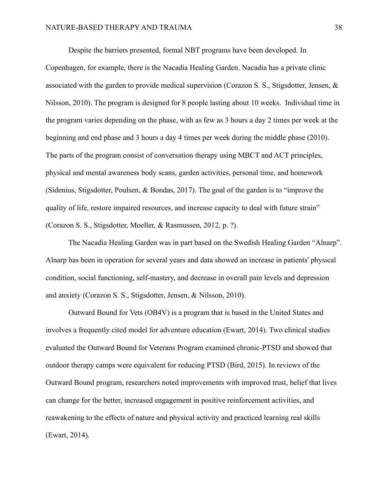Despite the barriers presented, formal NBT programs have been developed. In Copenhagen, for example, there is the Nacadia Healing Garden. Nacadia has a private clinic associated with the garden to provide medical supervision (Corazon S. S., Stigsdotter, Jensen, & Nilsson, 2010). The program is designed for 8 people lasting about 10 weeks. Individual time in the program varies depending on the phase, with as few as 3 hours a day 2 times per week at the beginning and end phase and 3 hours a day 4 times per week during the middle phase (2010). The parts of the program consist of conversation therapy using MBCT and ACT principles, physical and mental awareness body scans, garden activities, personal time, and homework (Sidenius, Stigsdotter, Poulsen, & Bondas, 2017). The goal of the garden is to "improve the quality of life, restore impaired resources, and increase capacity to deal with future strain" (Corazon S. S., Stigsdotter, Moeller, & Rasmussen, 2012, p. ?).

The Nacadia Healing Garden was in part based on the Swedish Healing Garden "Alnarp". Alnarp has been in operation for several years and data showed an increase in patients' physical condition, social functioning, self-mastery, and decrease in overall pain levels and depression and anxiety (Corazon S. S., Stigsdotter, Jensen, & Nilsson, 2010).

Outward Bound for Vets (OB4V) is a program that is based in the United States and involves a frequently cited model for adventure education (Ewart, 2014). Two clinical studies evaluated the Outward Bound for Veterans Program examined chronic-PTSD and showed that outdoor therapy camps were equivalent for reducing PTSD (Bird, 2015). In reviews of the Outward Bound program, researchers noted improvements with improved trust, belief that lives can change for the better, increased engagement in positive reinforcement activities, and reawakening to the effects of nature and physical activity and practiced learning real skills (Ewart, 2014).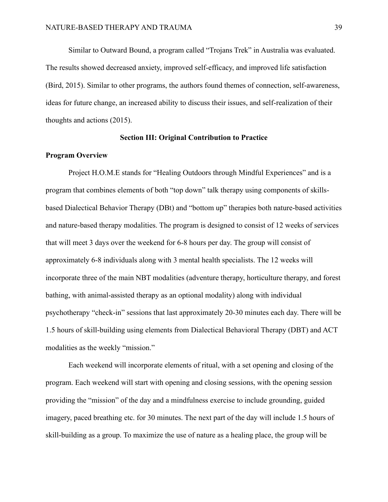Similar to Outward Bound, a program called "Trojans Trek" in Australia was evaluated. The results showed decreased anxiety, improved self-efficacy, and improved life satisfaction (Bird, 2015). Similar to other programs, the authors found themes of connection, self-awareness, ideas for future change, an increased ability to discuss their issues, and self-realization of their thoughts and actions (2015).

#### **Section III: Original Contribution to Practice**

### **Program Overview**

Project H.O.M.E stands for "Healing Outdoors through Mindful Experiences" and is a program that combines elements of both "top down" talk therapy using components of skillsbased Dialectical Behavior Therapy (DBt) and "bottom up" therapies both nature-based activities and nature-based therapy modalities. The program is designed to consist of 12 weeks of services that will meet 3 days over the weekend for 6-8 hours per day. The group will consist of approximately 6-8 individuals along with 3 mental health specialists. The 12 weeks will incorporate three of the main NBT modalities (adventure therapy, horticulture therapy, and forest bathing, with animal-assisted therapy as an optional modality) along with individual psychotherapy "check-in" sessions that last approximately 20-30 minutes each day. There will be 1.5 hours of skill-building using elements from Dialectical Behavioral Therapy (DBT) and ACT modalities as the weekly "mission."

Each weekend will incorporate elements of ritual, with a set opening and closing of the program. Each weekend will start with opening and closing sessions, with the opening session providing the "mission" of the day and a mindfulness exercise to include grounding, guided imagery, paced breathing etc. for 30 minutes. The next part of the day will include 1.5 hours of skill-building as a group. To maximize the use of nature as a healing place, the group will be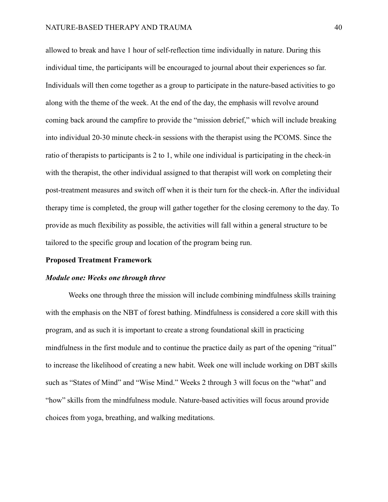allowed to break and have 1 hour of self-reflection time individually in nature. During this individual time, the participants will be encouraged to journal about their experiences so far. Individuals will then come together as a group to participate in the nature-based activities to go along with the theme of the week. At the end of the day, the emphasis will revolve around coming back around the campfire to provide the "mission debrief," which will include breaking into individual 20-30 minute check-in sessions with the therapist using the PCOMS. Since the ratio of therapists to participants is 2 to 1, while one individual is participating in the check-in with the therapist, the other individual assigned to that therapist will work on completing their post-treatment measures and switch off when it is their turn for the check-in. After the individual therapy time is completed, the group will gather together for the closing ceremony to the day. To provide as much flexibility as possible, the activities will fall within a general structure to be tailored to the specific group and location of the program being run.

#### **Proposed Treatment Framework**

#### *Module one: Weeks one through three*

Weeks one through three the mission will include combining mindfulness skills training with the emphasis on the NBT of forest bathing. Mindfulness is considered a core skill with this program, and as such it is important to create a strong foundational skill in practicing mindfulness in the first module and to continue the practice daily as part of the opening "ritual" to increase the likelihood of creating a new habit. Week one will include working on DBT skills such as "States of Mind" and "Wise Mind." Weeks 2 through 3 will focus on the "what" and "how" skills from the mindfulness module. Nature-based activities will focus around provide choices from yoga, breathing, and walking meditations.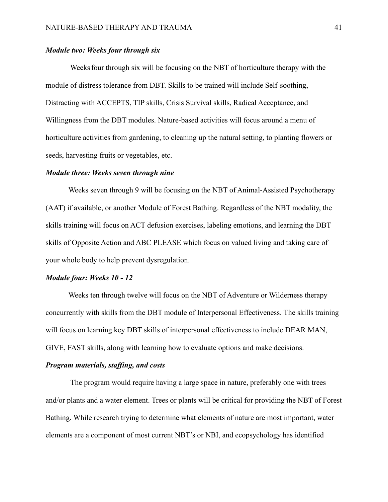## *Module two: Weeks four through six*

Weeksfour through six will be focusing on the NBT of horticulture therapy with the module of distress tolerance from DBT. Skills to be trained will include Self-soothing, Distracting with ACCEPTS, TIP skills, Crisis Survival skills, Radical Acceptance, and Willingness from the DBT modules. Nature-based activities will focus around a menu of horticulture activities from gardening, to cleaning up the natural setting, to planting flowers or seeds, harvesting fruits or vegetables, etc.

#### *Module three: Weeks seven through nine*

Weeks seven through 9 will be focusing on the NBT of Animal-Assisted Psychotherapy (AAT) if available, or another Module of Forest Bathing. Regardless of the NBT modality, the skills training will focus on ACT defusion exercises, labeling emotions, and learning the DBT skills of Opposite Action and ABC PLEASE which focus on valued living and taking care of your whole body to help prevent dysregulation.

#### *Module four: Weeks 10 - 12*

Weeks ten through twelve will focus on the NBT of Adventure or Wilderness therapy concurrently with skills from the DBT module of Interpersonal Effectiveness. The skills training will focus on learning key DBT skills of interpersonal effectiveness to include DEAR MAN, GIVE, FAST skills, along with learning how to evaluate options and make decisions.

#### *Program materials, staffing, and costs*

The program would require having a large space in nature, preferably one with trees and/or plants and a water element. Trees or plants will be critical for providing the NBT of Forest Bathing. While research trying to determine what elements of nature are most important, water elements are a component of most current NBT's or NBI, and ecopsychology has identified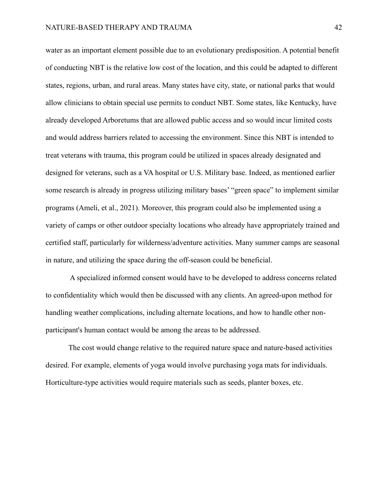water as an important element possible due to an evolutionary predisposition. A potential benefit of conducting NBT is the relative low cost of the location, and this could be adapted to different states, regions, urban, and rural areas. Many states have city, state, or national parks that would allow clinicians to obtain special use permits to conduct NBT. Some states, like Kentucky, have already developed Arboretums that are allowed public access and so would incur limited costs and would address barriers related to accessing the environment. Since this NBT is intended to treat veterans with trauma, this program could be utilized in spaces already designated and designed for veterans, such as a VA hospital or U.S. Military base. Indeed, as mentioned earlier some research is already in progress utilizing military bases' "green space" to implement similar programs (Ameli, et al., 2021). Moreover, this program could also be implemented using a variety of camps or other outdoor specialty locations who already have appropriately trained and certified staff, particularly for wilderness/adventure activities. Many summer camps are seasonal in nature, and utilizing the space during the off-season could be beneficial.

A specialized informed consent would have to be developed to address concerns related to confidentiality which would then be discussed with any clients. An agreed-upon method for handling weather complications, including alternate locations, and how to handle other nonparticipant's human contact would be among the areas to be addressed.

The cost would change relative to the required nature space and nature-based activities desired. For example, elements of yoga would involve purchasing yoga mats for individuals. Horticulture-type activities would require materials such as seeds, planter boxes, etc.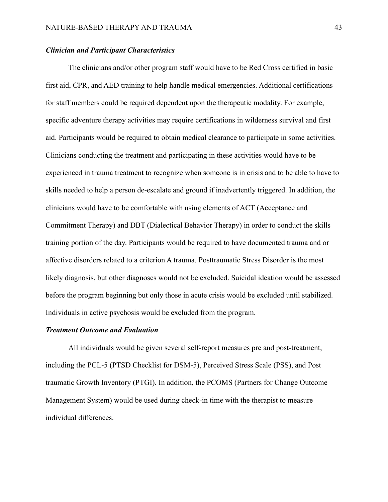## *Clinician and Participant Characteristics*

The clinicians and/or other program staff would have to be Red Cross certified in basic first aid, CPR, and AED training to help handle medical emergencies. Additional certifications for staff members could be required dependent upon the therapeutic modality. For example, specific adventure therapy activities may require certifications in wilderness survival and first aid. Participants would be required to obtain medical clearance to participate in some activities. Clinicians conducting the treatment and participating in these activities would have to be experienced in trauma treatment to recognize when someone is in crisis and to be able to have to skills needed to help a person de-escalate and ground if inadvertently triggered. In addition, the clinicians would have to be comfortable with using elements of ACT (Acceptance and Commitment Therapy) and DBT (Dialectical Behavior Therapy) in order to conduct the skills training portion of the day. Participants would be required to have documented trauma and or affective disorders related to a criterion A trauma. Posttraumatic Stress Disorder is the most likely diagnosis, but other diagnoses would not be excluded. Suicidal ideation would be assessed before the program beginning but only those in acute crisis would be excluded until stabilized. Individuals in active psychosis would be excluded from the program.

#### *Treatment Outcome and Evaluation*

All individuals would be given several self-report measures pre and post-treatment, including the PCL-5 (PTSD Checklist for DSM-5), Perceived Stress Scale (PSS), and Post traumatic Growth Inventory (PTGI). In addition, the PCOMS (Partners for Change Outcome Management System) would be used during check-in time with the therapist to measure individual differences.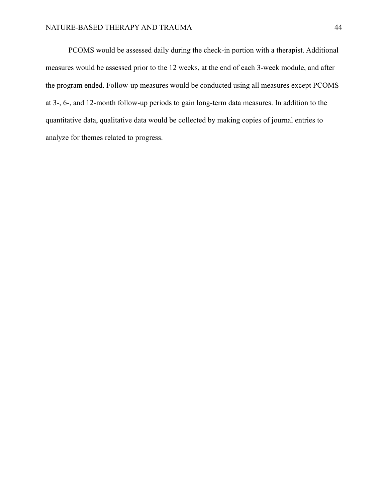PCOMS would be assessed daily during the check-in portion with a therapist. Additional measures would be assessed prior to the 12 weeks, at the end of each 3-week module, and after the program ended. Follow-up measures would be conducted using all measures except PCOMS at 3-, 6-, and 12-month follow-up periods to gain long-term data measures. In addition to the quantitative data, qualitative data would be collected by making copies of journal entries to analyze for themes related to progress.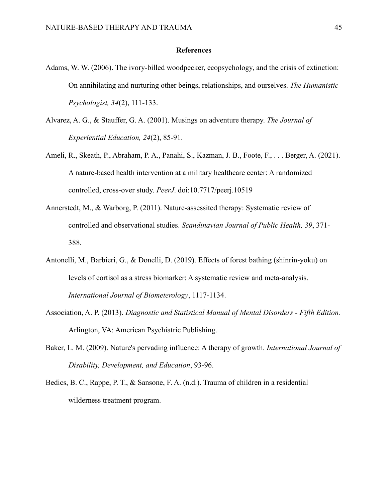### **References**

- Adams, W. W. (2006). The ivory-billed woodpecker, ecopsychology, and the crisis of extinction: On annihilating and nurturing other beings, relationships, and ourselves. *The Humanistic Psychologist, 34*(2), 111-133.
- Alvarez, A. G., & Stauffer, G. A. (2001). Musings on adventure therapy. *The Journal of Experiential Education, 24*(2), 85-91.
- Ameli, R., Skeath, P., Abraham, P. A., Panahi, S., Kazman, J. B., Foote, F., . . . Berger, A. (2021). A nature-based health intervention at a military healthcare center: A randomized controlled, cross-over study. *PeerJ*. doi:10.7717/peerj.10519
- Annerstedt, M., & Warborg, P. (2011). Nature-assessited therapy: Systematic review of controlled and observational studies. *Scandinavian Journal of Public Health, 39*, 371- 388.
- Antonelli, M., Barbieri, G., & Donelli, D. (2019). Effects of forest bathing (shinrin-yoku) on levels of cortisol as a stress biomarker: A systematic review and meta-analysis. *International Journal of Biometerology*, 1117-1134.
- Association, A. P. (2013). *Diagnostic and Statistical Manual of Mental Disorders - Fifth Edition.* Arlington, VA: American Psychiatric Publishing.
- Baker, L. M. (2009). Nature's pervading influence: A therapy of growth. *International Journal of Disability, Development, and Education*, 93-96.
- Bedics, B. C., Rappe, P. T., & Sansone, F. A. (n.d.). Trauma of children in a residential wilderness treatment program.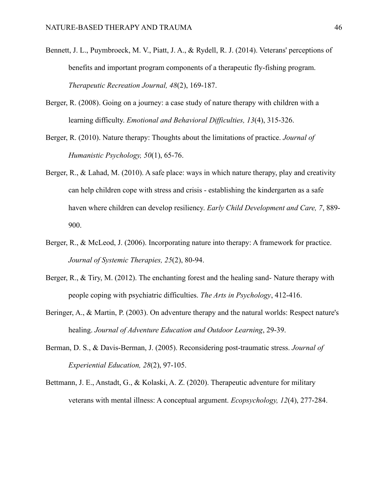- Bennett, J. L., Puymbroeck, M. V., Piatt, J. A., & Rydell, R. J. (2014). Veterans' perceptions of benefits and important program components of a therapeutic fly-fishing program. *Therapeutic Recreation Journal, 48*(2), 169-187.
- Berger, R. (2008). Going on a journey: a case study of nature therapy with children with a learning difficulty. *Emotional and Behavioral Difficulties, 13*(4), 315-326.
- Berger, R. (2010). Nature therapy: Thoughts about the limitations of practice. *Journal of Humanistic Psychology, 50*(1), 65-76.
- Berger, R., & Lahad, M. (2010). A safe place: ways in which nature therapy, play and creativity can help children cope with stress and crisis - establishing the kindergarten as a safe haven where children can develop resiliency. *Early Child Development and Care, 7*, 889- 900.
- Berger, R., & McLeod, J. (2006). Incorporating nature into therapy: A framework for practice. *Journal of Systemic Therapies, 25*(2), 80-94.
- Berger, R., & Tiry, M. (2012). The enchanting forest and the healing sand- Nature therapy with people coping with psychiatric difficulties. *The Arts in Psychology*, 412-416.
- Beringer, A., & Martin, P. (2003). On adventure therapy and the natural worlds: Respect nature's healing. *Journal of Adventure Education and Outdoor Learning*, 29-39.
- Berman, D. S., & Davis-Berman, J. (2005). Reconsidering post-traumatic stress. *Journal of Experiential Education, 28*(2), 97-105.
- Bettmann, J. E., Anstadt, G., & Kolaski, A. Z. (2020). Therapeutic adventure for military veterans with mental illness: A conceptual argument. *Ecopsychology, 12*(4), 277-284.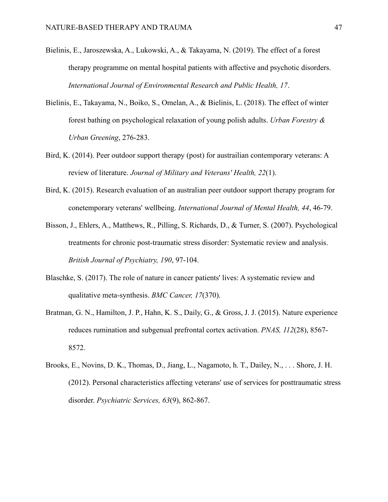- Bielinis, E., Jaroszewska, A., Lukowski, A., & Takayama, N. (2019). The effect of a forest therapy programme on mental hospital patients with affective and psychotic disorders. *International Journal of Environmental Research and Public Health, 17*.
- Bielinis, E., Takayama, N., Boiko, S., Omelan, A., & Bielinis, L. (2018). The effect of winter forest bathing on psychological relaxation of young polish adults. *Urban Forestry & Urban Greening*, 276-283.
- Bird, K. (2014). Peer outdoor support therapy (post) for austrailian contemporary veterans: A review of literature. *Journal of Military and Veterans' Health, 22*(1).
- Bird, K. (2015). Research evaluation of an australian peer outdoor support therapy program for conetemporary veterans' wellbeing. *International Journal of Mental Health, 44*, 46-79.
- Bisson, J., Ehlers, A., Matthews, R., Pilling, S. Richards, D., & Turner, S. (2007). Psychological treatments for chronic post-traumatic stress disorder: Systematic review and analysis. *British Journal of Psychiatry, 190*, 97-104.
- Blaschke, S. (2017). The role of nature in cancer patients' lives: A systematic review and qualitative meta-synthesis. *BMC Cancer, 17*(370).
- Bratman, G. N., Hamilton, J. P., Hahn, K. S., Daily, G., & Gross, J. J. (2015). Nature experience reduces rumination and subgenual prefrontal cortex activation. *PNAS, 112*(28), 8567- 8572.
- Brooks, E., Novins, D. K., Thomas, D., Jiang, L., Nagamoto, h. T., Dailey, N., . . . Shore, J. H. (2012). Personal characteristics affecting veterans' use of services for posttraumatic stress disorder. *Psychiatric Services, 63*(9), 862-867.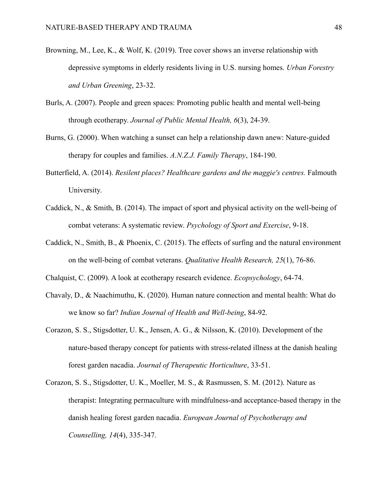- Browning, M., Lee, K., & Wolf, K. (2019). Tree cover shows an inverse relationship with depressive symptoms in elderly residents living in U.S. nursing homes. *Urban Forestry and Urban Greening*, 23-32.
- Burls, A. (2007). People and green spaces: Promoting public health and mental well-being through ecotherapy. *Journal of Public Mental Health, 6*(3), 24-39.
- Burns, G. (2000). When watching a sunset can help a relationship dawn anew: Nature-guided therapy for couples and families. *A.N.Z.J. Family Therapy*, 184-190.
- Butterfield, A. (2014). *Resilent places? Healthcare gardens and the maggie's centres.* Falmouth University.
- Caddick, N., & Smith, B. (2014). The impact of sport and physical activity on the well-being of combat veterans: A systematic review. *Psychology of Sport and Exercise*, 9-18.
- Caddick, N., Smith, B., & Phoenix, C. (2015). The effects of surfing and the natural environment on the well-being of combat veterans. *Qualitative Health Research, 25*(1), 76-86.
- Chalquist, C. (2009). A look at ecotherapy research evidence. *Ecopsychology*, 64-74.
- Chavaly, D., & Naachimuthu, K. (2020). Human nature connection and mental health: What do we know so far? *Indian Journal of Health and Well-being*, 84-92.
- Corazon, S. S., Stigsdotter, U. K., Jensen, A. G., & Nilsson, K. (2010). Development of the nature-based therapy concept for patients with stress-related illness at the danish healing forest garden nacadia. *Journal of Therapeutic Horticulture*, 33-51.
- Corazon, S. S., Stigsdotter, U. K., Moeller, M. S., & Rasmussen, S. M. (2012). Nature as therapist: Integrating permaculture with mindfulness-and acceptance-based therapy in the danish healing forest garden nacadia. *European Journal of Psychotherapy and Counselling, 14*(4), 335-347.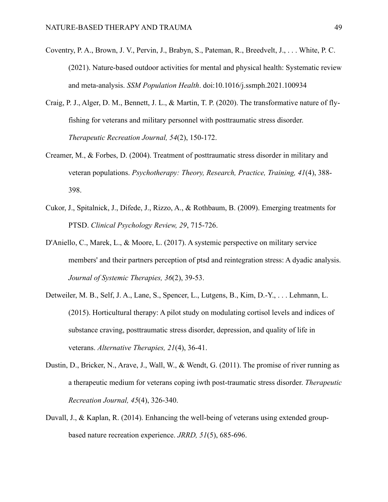- Coventry, P. A., Brown, J. V., Pervin, J., Brabyn, S., Pateman, R., Breedvelt, J., . . . White, P. C. (2021). Nature-based outdoor activities for mental and physical health: Systematic review and meta-analysis. *SSM Population Health*. doi:10.1016/j.ssmph.2021.100934
- Craig, P. J., Alger, D. M., Bennett, J. L., & Martin, T. P. (2020). The transformative nature of flyfishing for veterans and military personnel with posttraumatic stress disorder. *Therapeutic Recreation Journal, 54*(2), 150-172.
- Creamer, M., & Forbes, D. (2004). Treatment of posttraumatic stress disorder in military and veteran populations. *Psychotherapy: Theory, Research, Practice, Training, 41*(4), 388- 398.
- Cukor, J., Spitalnick, J., Difede, J., Rizzo, A., & Rothbaum, B. (2009). Emerging treatments for PTSD. *Clinical Psychology Review, 29*, 715-726.
- D'Aniello, C., Marek, L., & Moore, L. (2017). A systemic perspective on military service members' and their partners perception of ptsd and reintegration stress: A dyadic analysis. *Journal of Systemic Therapies, 36*(2), 39-53.
- Detweiler, M. B., Self, J. A., Lane, S., Spencer, L., Lutgens, B., Kim, D.-Y., . . . Lehmann, L. (2015). Horticultural therapy: A pilot study on modulating cortisol levels and indices of substance craving, posttraumatic stress disorder, depression, and quality of life in veterans. *Alternative Therapies, 21*(4), 36-41.
- Dustin, D., Bricker, N., Arave, J., Wall, W., & Wendt, G. (2011). The promise of river running as a therapeutic medium for veterans coping iwth post-traumatic stress disorder. *Therapeutic Recreation Journal, 45*(4), 326-340.
- Duvall, J., & Kaplan, R. (2014). Enhancing the well-being of veterans using extended groupbased nature recreation experience. *JRRD, 51*(5), 685-696.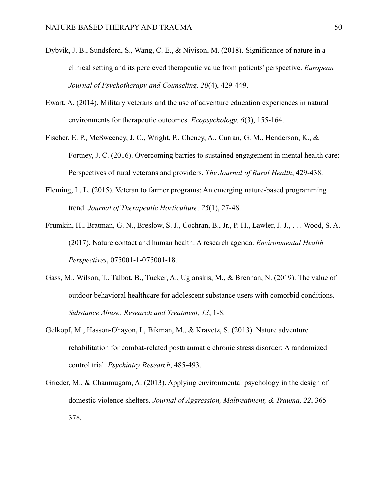- Dybvik, J. B., Sundsford, S., Wang, C. E., & Nivison, M. (2018). Significance of nature in a clinical setting and its percieved therapeutic value from patients' perspective. *European Journal of Psychotherapy and Counseling, 20*(4), 429-449.
- Ewart, A. (2014). Military veterans and the use of adventure education experiences in natural environments for therapeutic outcomes. *Ecopsychology, 6*(3), 155-164.
- Fischer, E. P., McSweeney, J. C., Wright, P., Cheney, A., Curran, G. M., Henderson, K., & Fortney, J. C. (2016). Overcoming barries to sustained engagement in mental health care: Perspectives of rural veterans and providers. *The Journal of Rural Health*, 429-438.
- Fleming, L. L. (2015). Veteran to farmer programs: An emerging nature-based programming trend. *Journal of Therapeutic Horticulture, 25*(1), 27-48.
- Frumkin, H., Bratman, G. N., Breslow, S. J., Cochran, B., Jr., P. H., Lawler, J. J., . . . Wood, S. A. (2017). Nature contact and human health: A research agenda. *Environmental Health Perspectives*, 075001-1-075001-18.
- Gass, M., Wilson, T., Talbot, B., Tucker, A., Ugianskis, M., & Brennan, N. (2019). The value of outdoor behavioral healthcare for adolescent substance users with comorbid conditions. *Substance Abuse: Research and Treatment, 13*, 1-8.
- Gelkopf, M., Hasson-Ohayon, I., Bikman, M., & Kravetz, S. (2013). Nature adventure rehabilitation for combat-related posttraumatic chronic stress disorder: A randomized control trial. *Psychiatry Research*, 485-493.
- Grieder, M., & Chanmugam, A. (2013). Applying environmental psychology in the design of domestic violence shelters. *Journal of Aggression, Maltreatment, & Trauma, 22*, 365- 378.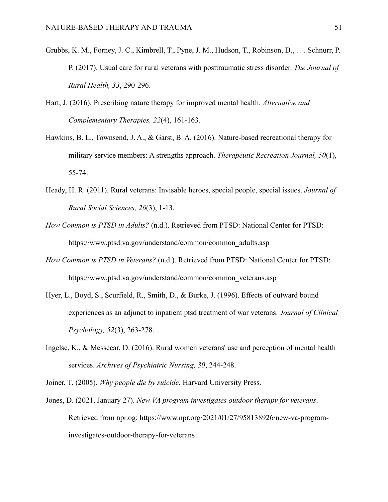- Grubbs, K. M., Forney, J. C., Kimbrell, T., Pyne, J. M., Hudson, T., Robinson, D., . . . Schnurr, P. P. (2017). Usual care for rural veterans with posttraumatic stress disorder. *The Journal of Rural Health, 33*, 290-296.
- Hart, J. (2016). Prescribing nature therapy for improved mental health. *Alternative and Complementary Therapies, 22*(4), 161-163.
- Hawkins, B. L., Townsend, J. A., & Garst, B. A. (2016). Nature-based recreational therapy for military service members: A strengths approach. *Therapeutic Recreation Journal, 50*(1), 55-74.
- Heady, H. R. (2011). Rural veterans: Invisable heroes, special people, special issues. *Journal of Rural Social Sciences, 26*(3), 1-13.
- *How Common is PTSD in Adults?* (n.d.). Retrieved from PTSD: National Center for PTSD: https://www.ptsd.va.gov/understand/common/common\_adults.asp
- *How Common is PTSD in Veterans?* (n.d.). Retrieved from PTSD: National Center for PTSD: https://www.ptsd.va.gov/understand/common/common\_veterans.asp
- Hyer, L., Boyd, S., Scurfield, R., Smith, D., & Burke, J. (1996). Effects of outward bound experiences as an adjunct to inpatient ptsd treatment of war veterans. *Journal of Clinical Psychology, 52*(3), 263-278.
- Ingelse, K., & Messecar, D. (2016). Rural women veterans' use and perception of mental health services. *Archives of Psychiatric Nursing, 30*, 244-248.
- Joiner, T. (2005). *Why people die by suicide.* Harvard University Press.
- Jones, D. (2021, January 27). *New VA program investigates outdoor therapy for veterans*. Retrieved from npr.og: https://www.npr.org/2021/01/27/958138926/new-va-programinvestigates-outdoor-therapy-for-veterans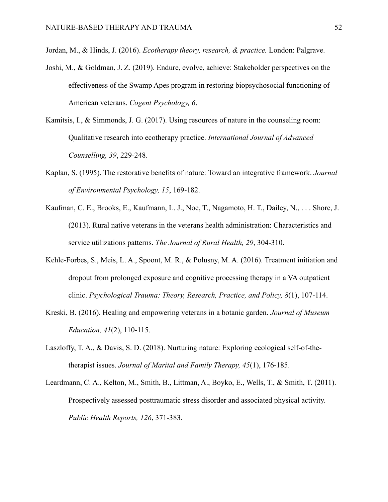Jordan, M., & Hinds, J. (2016). *Ecotherapy theory, research, & practice.* London: Palgrave.

- Joshi, M., & Goldman, J. Z. (2019). Endure, evolve, achieve: Stakeholder perspectives on the effectiveness of the Swamp Apes program in restoring biopsychosocial functioning of American veterans. *Cogent Psychology, 6*.
- Kamitsis, I., & Simmonds, J. G. (2017). Using resources of nature in the counseling room: Qualitative research into ecotherapy practice. *International Journal of Advanced Counselling, 39*, 229-248.
- Kaplan, S. (1995). The restorative benefits of nature: Toward an integrative framework. *Journal of Environmental Psychology, 15*, 169-182.
- Kaufman, C. E., Brooks, E., Kaufmann, L. J., Noe, T., Nagamoto, H. T., Dailey, N., . . . Shore, J. (2013). Rural native veterans in the veterans health administration: Characteristics and service utilizations patterns. *The Journal of Rural Health, 29*, 304-310.
- Kehle-Forbes, S., Meis, L. A., Spoont, M. R., & Polusny, M. A. (2016). Treatment initiation and dropout from prolonged exposure and cognitive processing therapy in a VA outpatient clinic. *Psychological Trauma: Theory, Research, Practice, and Policy, 8*(1), 107-114.
- Kreski, B. (2016). Healing and empowering veterans in a botanic garden. *Journal of Museum Education, 41*(2), 110-115.
- Laszloffy, T. A., & Davis, S. D. (2018). Nurturing nature: Exploring ecological self-of-thetherapist issues. *Journal of Marital and Family Therapy, 45*(1), 176-185.
- Leardmann, C. A., Kelton, M., Smith, B., Littman, A., Boyko, E., Wells, T., & Smith, T. (2011). Prospectively assessed posttraumatic stress disorder and associated physical activity. *Public Health Reports, 126*, 371-383.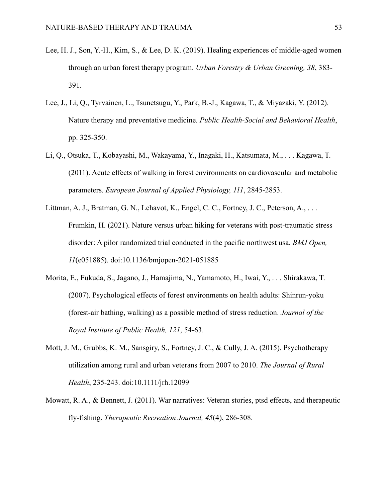- Lee, H. J., Son, Y.-H., Kim, S., & Lee, D. K. (2019). Healing experiences of middle-aged women through an urban forest therapy program. *Urban Forestry & Urban Greening, 38*, 383- 391.
- Lee, J., Li, Q., Tyrvainen, L., Tsunetsugu, Y., Park, B.-J., Kagawa, T., & Miyazaki, Y. (2012). Nature therapy and preventative medicine. *Public Health-Social and Behavioral Health*, pp. 325-350.
- Li, Q., Otsuka, T., Kobayashi, M., Wakayama, Y., Inagaki, H., Katsumata, M., . . . Kagawa, T. (2011). Acute effects of walking in forest environments on cardiovascular and metabolic parameters. *European Journal of Applied Physiology, 111*, 2845-2853.
- Littman, A. J., Bratman, G. N., Lehavot, K., Engel, C. C., Fortney, J. C., Peterson, A., ... Frumkin, H. (2021). Nature versus urban hiking for veterans with post-traumatic stress disorder: A pilor randomized trial conducted in the pacific northwest usa. *BMJ Open, 11*(e051885). doi:10.1136/bmjopen-2021-051885
- Morita, E., Fukuda, S., Jagano, J., Hamajima, N., Yamamoto, H., Iwai, Y., . . . Shirakawa, T. (2007). Psychological effects of forest environments on health adults: Shinrun-yoku (forest-air bathing, walking) as a possible method of stress reduction. *Journal of the Royal Institute of Public Health, 121*, 54-63.
- Mott, J. M., Grubbs, K. M., Sansgiry, S., Fortney, J. C., & Cully, J. A. (2015). Psychotherapy utilization among rural and urban veterans from 2007 to 2010. *The Journal of Rural Health*, 235-243. doi:10.1111/jrh.12099
- Mowatt, R. A., & Bennett, J. (2011). War narratives: Veteran stories, ptsd effects, and therapeutic fly-fishing. *Therapeutic Recreation Journal, 45*(4), 286-308.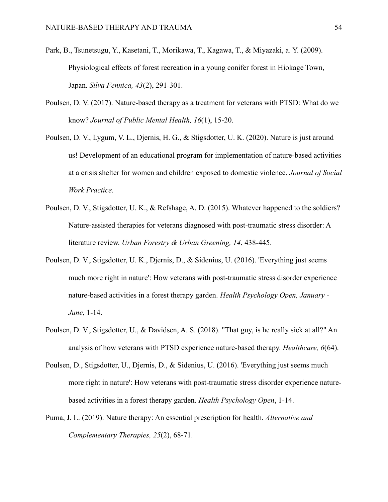- Park, B., Tsunetsugu, Y., Kasetani, T., Morikawa, T., Kagawa, T., & Miyazaki, a. Y. (2009). Physiological effects of forest recreation in a young conifer forest in Hiokage Town, Japan. *Silva Fennica, 43*(2), 291-301.
- Poulsen, D. V. (2017). Nature-based therapy as a treatment for veterans with PTSD: What do we know? *Journal of Public Mental Health, 16*(1), 15-20.
- Poulsen, D. V., Lygum, V. L., Djernis, H. G., & Stigsdotter, U. K. (2020). Nature is just around us! Development of an educational program for implementation of nature-based activities at a crisis shelter for women and children exposed to domestic violence. *Journal of Social Work Practice*.
- Poulsen, D. V., Stigsdotter, U. K., & Refshage, A. D. (2015). Whatever happened to the soldiers? Nature-assisted therapies for veterans diagnosed with post-traumatic stress disorder: A literature review. *Urban Forestry & Urban Greening, 14*, 438-445.
- Poulsen, D. V., Stigsdotter, U. K., Djernis, D., & Sidenius, U. (2016). 'Everything just seems much more right in nature': How veterans with post-traumatic stress disorder experience nature-based activities in a forest therapy garden. *Health Psychology Open, January - June*, 1-14.
- Poulsen, D. V., Stigsdotter, U., & Davidsen, A. S. (2018). "That guy, is he really sick at all?" An analysis of how veterans with PTSD experience nature-based therapy. *Healthcare, 6*(64).
- Poulsen, D., Stigsdotter, U., Djernis, D., & Sidenius, U. (2016). 'Everything just seems much more right in nature': How veterans with post-traumatic stress disorder experience naturebased activities in a forest therapy garden. *Health Psychology Open*, 1-14.
- Puma, J. L. (2019). Nature therapy: An essential prescription for health. *Alternative and Complementary Therapies, 25*(2), 68-71.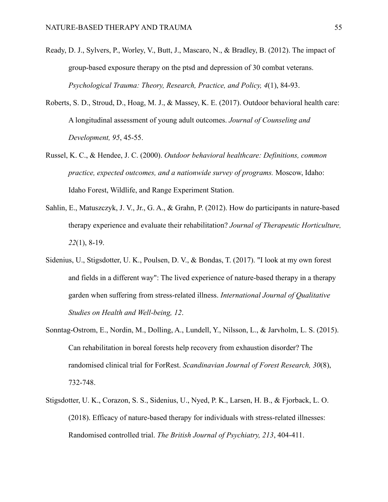- Ready, D. J., Sylvers, P., Worley, V., Butt, J., Mascaro, N., & Bradley, B. (2012). The impact of group-based exposure therapy on the ptsd and depression of 30 combat veterans. *Psychological Trauma: Theory, Research, Practice, and Policy, 4*(1), 84-93.
- Roberts, S. D., Stroud, D., Hoag, M. J., & Massey, K. E. (2017). Outdoor behavioral health care: A longitudinal assessment of young adult outcomes. *Journal of Counseling and Development, 95*, 45-55.
- Russel, K. C., & Hendee, J. C. (2000). *Outdoor behavioral healthcare: Definitions, common practice, expected outcomes, and a nationwide survey of programs.* Moscow, Idaho: Idaho Forest, Wildlife, and Range Experiment Station.
- Sahlin, E., Matuszczyk, J. V., Jr., G. A., & Grahn, P. (2012). How do participants in nature-based therapy experience and evaluate their rehabilitation? *Journal of Therapeutic Horticulture, 22*(1), 8-19.
- Sidenius, U., Stigsdotter, U. K., Poulsen, D. V., & Bondas, T. (2017). "I look at my own forest and fields in a different way": The lived experience of nature-based therapy in a therapy garden when suffering from stress-related illness. *International Journal of Qualitative Studies on Health and Well-being, 12*.
- Sonntag-Ostrom, E., Nordin, M., Dolling, A., Lundell, Y., Nilsson, L., & Jarvholm, L. S. (2015). Can rehabilitation in boreal forests help recovery from exhaustion disorder? The randomised clinical trial for ForRest. *Scandinavian Journal of Forest Research, 30*(8), 732-748.
- Stigsdotter, U. K., Corazon, S. S., Sidenius, U., Nyed, P. K., Larsen, H. B., & Fjorback, L. O. (2018). Efficacy of nature-based therapy for individuals with stress-related illnesses: Randomised controlled trial. *The British Journal of Psychiatry, 213*, 404-411.